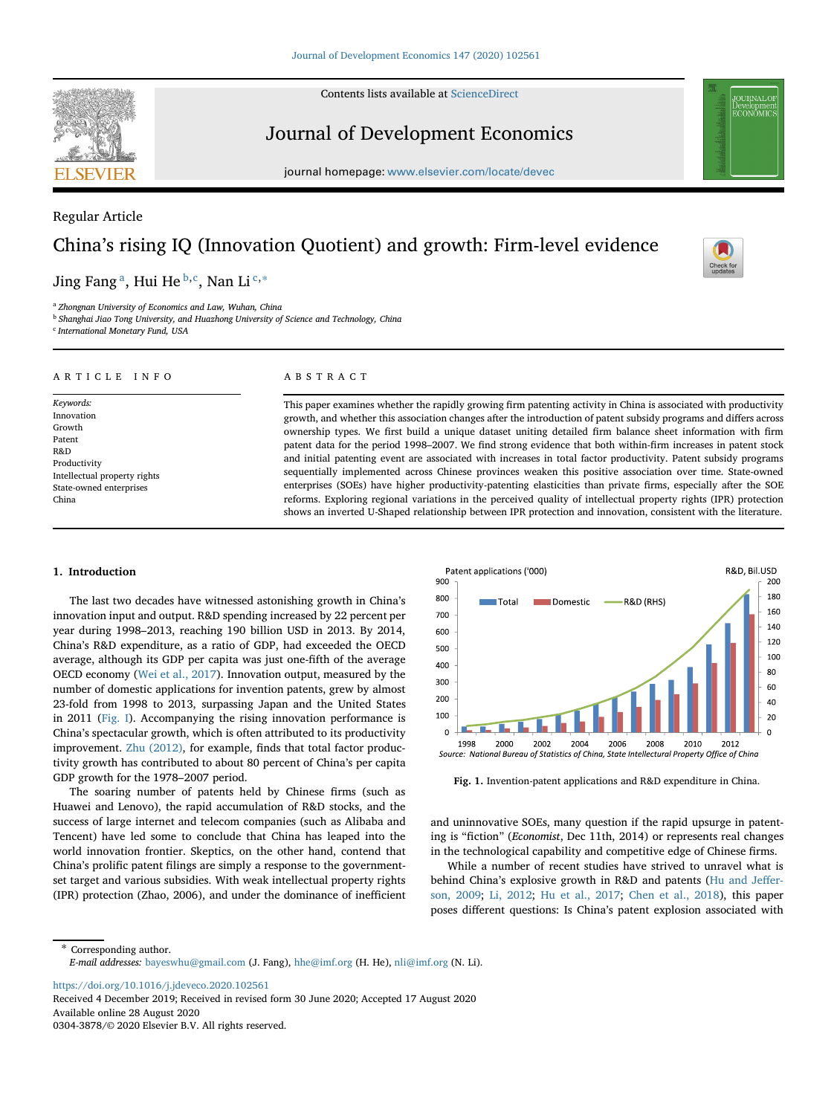Contents lists available at [ScienceDirect](http://www.sciencedirect.com/science/journal/)



# Journal of Development Economics

journal homepage: [www.elsevier.com/locate/devec](http://www.elsevier.com/locate/devec)

# Regular Article China's rising IQ (Innovation Quotient) and growth: Firm-level evidence

Jing Fang<sup>a</sup>, Hui He<sup>[b,](#page-0-1)c</sup>, Nan Li<sup>[c,](#page-0-2)\*</sup>

<sup>a</sup> *Zhongnan University of Economics and Law, Wuhan, China*

<span id="page-0-1"></span><span id="page-0-0"></span><sup>b</sup> *Shanghai Jiao Tong University, and Huazhong University of Science and Technology, China*

<span id="page-0-2"></span><sup>c</sup> *International Monetary Fund, USA*

#### ARTICLE INFO

*Keywords:* Innovation Growth Patent R&D Productivity Intellectual property rights State-owned enterprises China

#### ABSTRACT

This paper examines whether the rapidly growing firm patenting activity in China is associated with productivity growth, and whether this association changes after the introduction of patent subsidy programs and differs across ownership types. We first build a unique dataset uniting detailed firm balance sheet information with firm patent data for the period 1998–2007. We find strong evidence that both within-firm increases in patent stock and initial patenting event are associated with increases in total factor productivity. Patent subsidy programs sequentially implemented across Chinese provinces weaken this positive association over time. State-owned enterprises (SOEs) have higher productivity-patenting elasticities than private firms, especially after the SOE reforms. Exploring regional variations in the perceived quality of intellectual property rights (IPR) protection shows an inverted U-Shaped relationship between IPR protection and innovation, consistent with the literature.

# **1. Introduction**

The last two decades have witnessed astonishing growth in China's innovation input and output. R&D spending increased by 22 percent per year during 1998–2013, reaching 190 billion USD in 2013. By 2014, China's R&D expenditure, as a ratio of GDP, had exceeded the OECD average, although its GDP per capita was just one-fifth of the average OECD economy [\(Wei et al., 2017\)](#page-18-0). Innovation output, measured by the number of domestic applications for invention patents, grew by almost 23-fold from 1998 to 2013, surpassing Japan and the United States in 2011 [\(Fig. I\)](#page-0-4). Accompanying the rising innovation performance is China's spectacular growth, which is often attributed to its productivity improvement. [Zhu \(2012\),](#page-18-1) for example, finds that total factor productivity growth has contributed to about 80 percent of China's per capita GDP growth for the 1978–2007 period.

The soaring number of patents held by Chinese firms (such as Huawei and Lenovo), the rapid accumulation of R&D stocks, and the success of large internet and telecom companies (such as Alibaba and Tencent) have led some to conclude that China has leaped into the world innovation frontier. Skeptics, on the other hand, contend that China's prolific patent filings are simply a response to the governmentset target and various subsidies. With weak intellectual property rights (IPR) protection (Zhao, 2006), and under the dominance of inefficient



<span id="page-0-4"></span>**Fig. 1.** Invention-patent applications and R&D expenditure in China.

and uninnovative SOEs, many question if the rapid upsurge in patenting is "fiction" (*Economist*, Dec 11th, 2014) or represents real changes in the technological capability and competitive edge of Chinese firms.

While a number of recent studies have strived to unravel what is [behind China's explosive growth in R&D and patents \(Hu and Jeffer](#page-17-0)son, 2009; [Li, 2012;](#page-17-1) [Hu et al., 2017;](#page-17-2) [Chen et al., 2018\)](#page-17-3), this paper poses different questions: Is China's patent explosion associated with

<span id="page-0-3"></span>∗ Corresponding author. *E-mail addresses:* [bayeswhu@gmail.com](mailto:bayeswhu@gmail.com) (J. Fang), [hhe@imf.org](mailto:hhe@imf.org) (H. He), [nli@imf.org](mailto:nli@imf.org) (N. Li).

<https://doi.org/10.1016/j.jdeveco.2020.102561>

Received 4 December 2019; Received in revised form 30 June 2020; Accepted 17 August 2020 Available online 28 August 2020 0304-3878/© 2020 Elsevier B.V. All rights reserved.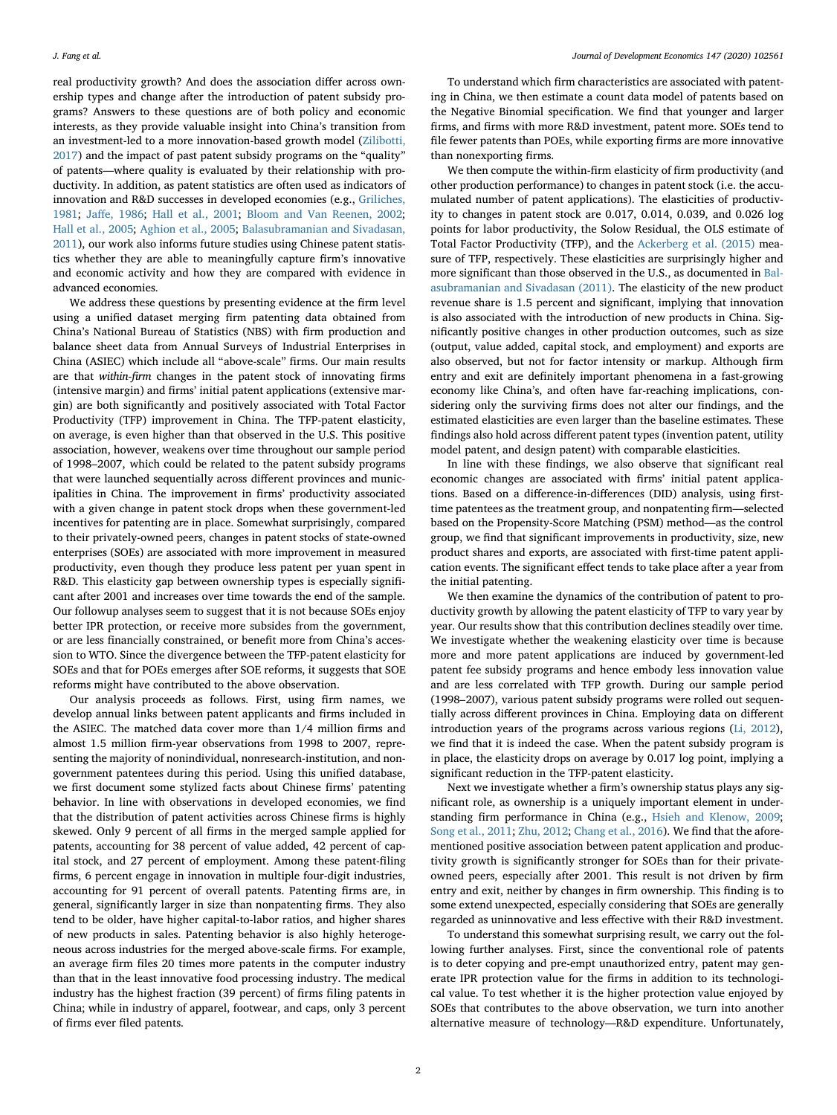real productivity growth? And does the association differ across ownership types and change after the introduction of patent subsidy programs? Answers to these questions are of both policy and economic interests, as they provide valuable insight into China's transition from [an investment-led to a more innovation-based growth model \(Zilibotti,](#page-18-2) 2017) and the impact of past patent subsidy programs on the "quality" of patents—where quality is evaluated by their relationship with productivity. In addition, as patent statistics are often used as indicators of [innovation and R&D successes in developed economies \(e.g.,](#page-17-4) Griliches, 1981; [Jaffe, 1986;](#page-17-5) [Hall et al., 2001;](#page-17-6) [Bloom and Van Reenen, 2002;](#page-17-7) [Hall et al., 2005;](#page-17-8) [Aghion et al., 2005;](#page-17-9) Balasubramanian and Sivadasan, [2011\), our work also informs future studies using Chinese patent statis](#page-17-10)tics whether they are able to meaningfully capture firm's innovative and economic activity and how they are compared with evidence in advanced economies.

We address these questions by presenting evidence at the firm level using a unified dataset merging firm patenting data obtained from China's National Bureau of Statistics (NBS) with firm production and balance sheet data from Annual Surveys of Industrial Enterprises in China (ASIEC) which include all "above-scale" firms. Our main results are that *within-firm* changes in the patent stock of innovating firms (intensive margin) and firms' initial patent applications (extensive margin) are both significantly and positively associated with Total Factor Productivity (TFP) improvement in China. The TFP-patent elasticity, on average, is even higher than that observed in the U.S. This positive association, however, weakens over time throughout our sample period of 1998–2007, which could be related to the patent subsidy programs that were launched sequentially across different provinces and municipalities in China. The improvement in firms' productivity associated with a given change in patent stock drops when these government-led incentives for patenting are in place. Somewhat surprisingly, compared to their privately-owned peers, changes in patent stocks of state-owned enterprises (SOEs) are associated with more improvement in measured productivity, even though they produce less patent per yuan spent in R&D. This elasticity gap between ownership types is especially significant after 2001 and increases over time towards the end of the sample. Our followup analyses seem to suggest that it is not because SOEs enjoy better IPR protection, or receive more subsides from the government, or are less financially constrained, or benefit more from China's accession to WTO. Since the divergence between the TFP-patent elasticity for SOEs and that for POEs emerges after SOE reforms, it suggests that SOE reforms might have contributed to the above observation.

Our analysis proceeds as follows. First, using firm names, we develop annual links between patent applicants and firms included in the ASIEC. The matched data cover more than 1/4 million firms and almost 1.5 million firm-year observations from 1998 to 2007, representing the majority of nonindividual, nonresearch-institution, and nongovernment patentees during this period. Using this unified database, we first document some stylized facts about Chinese firms' patenting behavior. In line with observations in developed economies, we find that the distribution of patent activities across Chinese firms is highly skewed. Only 9 percent of all firms in the merged sample applied for patents, accounting for 38 percent of value added, 42 percent of capital stock, and 27 percent of employment. Among these patent-filing firms, 6 percent engage in innovation in multiple four-digit industries, accounting for 91 percent of overall patents. Patenting firms are, in general, significantly larger in size than nonpatenting firms. They also tend to be older, have higher capital-to-labor ratios, and higher shares of new products in sales. Patenting behavior is also highly heterogeneous across industries for the merged above-scale firms. For example, an average firm files 20 times more patents in the computer industry than that in the least innovative food processing industry. The medical industry has the highest fraction (39 percent) of firms filing patents in China; while in industry of apparel, footwear, and caps, only 3 percent of firms ever filed patents.

To understand which firm characteristics are associated with patenting in China, we then estimate a count data model of patents based on the Negative Binomial specification. We find that younger and larger firms, and firms with more R&D investment, patent more. SOEs tend to file fewer patents than POEs, while exporting firms are more innovative than nonexporting firms.

We then compute the within-firm elasticity of firm productivity (and other production performance) to changes in patent stock (i.e. the accumulated number of patent applications). The elasticities of productivity to changes in patent stock are 0.017, 0.014, 0.039, and 0.026 log points for labor productivity, the Solow Residual, the OLS estimate of Total Factor Productivity (TFP), and the [Ackerberg et al. \(2015\)](#page-17-11) measure of TFP, respectively. These elasticities are surprisingly higher and more significant than those observed in the U.S., as documented in Bal[asubramanian and Sivadasan \(2011\). The elasticity of the new product](#page-17-10) revenue share is 1.5 percent and significant, implying that innovation is also associated with the introduction of new products in China. Significantly positive changes in other production outcomes, such as size (output, value added, capital stock, and employment) and exports are also observed, but not for factor intensity or markup. Although firm entry and exit are definitely important phenomena in a fast-growing economy like China's, and often have far-reaching implications, considering only the surviving firms does not alter our findings, and the estimated elasticities are even larger than the baseline estimates. These findings also hold across different patent types (invention patent, utility model patent, and design patent) with comparable elasticities.

In line with these findings, we also observe that significant real economic changes are associated with firms' initial patent applications. Based on a difference-in-differences (DID) analysis, using firsttime patentees as the treatment group, and nonpatenting firm—selected based on the Propensity-Score Matching (PSM) method—as the control group, we find that significant improvements in productivity, size, new product shares and exports, are associated with first-time patent application events. The significant effect tends to take place after a year from the initial patenting.

We then examine the dynamics of the contribution of patent to productivity growth by allowing the patent elasticity of TFP to vary year by year. Our results show that this contribution declines steadily over time. We investigate whether the weakening elasticity over time is because more and more patent applications are induced by government-led patent fee subsidy programs and hence embody less innovation value and are less correlated with TFP growth. During our sample period (1998–2007), various patent subsidy programs were rolled out sequentially across different provinces in China. Employing data on different introduction years of the programs across various regions [\(Li, 2012\)](#page-17-1), we find that it is indeed the case. When the patent subsidy program is in place, the elasticity drops on average by 0.017 log point, implying a significant reduction in the TFP-patent elasticity.

Next we investigate whether a firm's ownership status plays any significant role, as ownership is a uniquely important element in understanding firm performance in China (e.g., [Hsieh and Klenow, 2009;](#page-17-12) [Song et al., 2011;](#page-18-3) [Zhu, 2012;](#page-18-1) [Chang et al., 2016\)](#page-17-13). We find that the aforementioned positive association between patent application and productivity growth is significantly stronger for SOEs than for their privateowned peers, especially after 2001. This result is not driven by firm entry and exit, neither by changes in firm ownership. This finding is to some extend unexpected, especially considering that SOEs are generally regarded as uninnovative and less effective with their R&D investment.

To understand this somewhat surprising result, we carry out the following further analyses. First, since the conventional role of patents is to deter copying and pre-empt unauthorized entry, patent may generate IPR protection value for the firms in addition to its technological value. To test whether it is the higher protection value enjoyed by SOEs that contributes to the above observation, we turn into another alternative measure of technology—R&D expenditure. Unfortunately,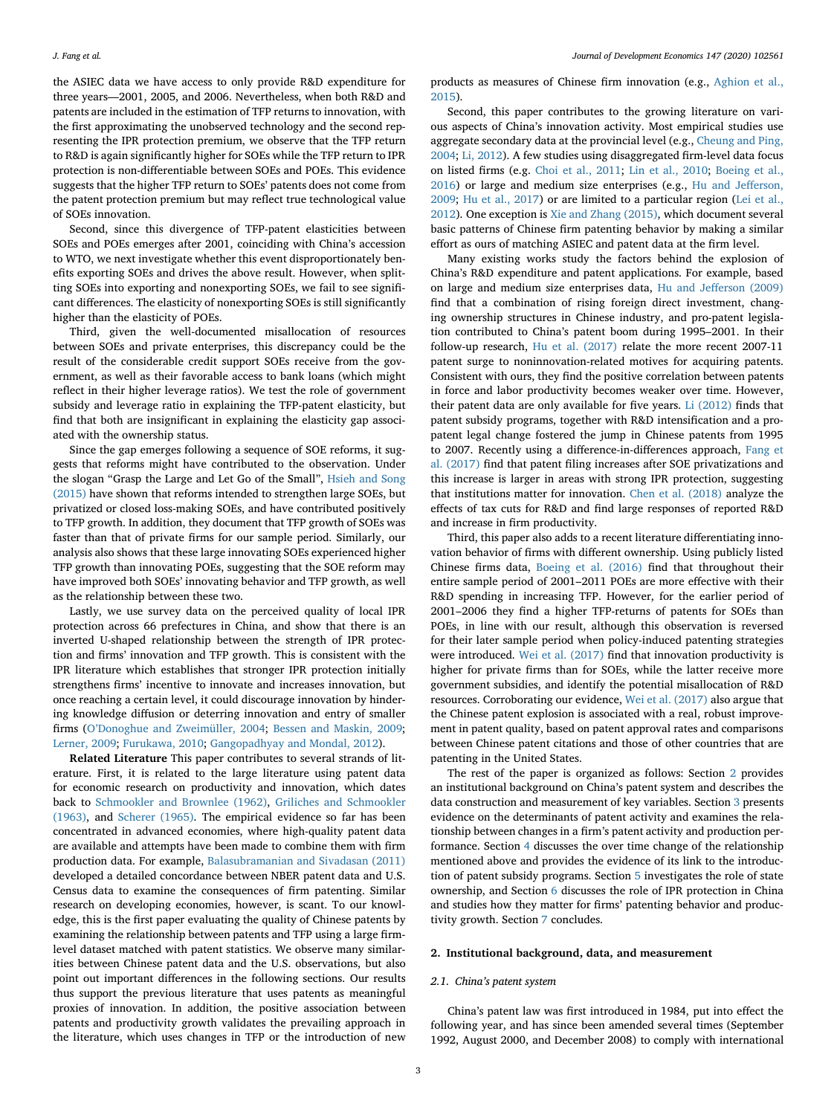the ASIEC data we have access to only provide R&D expenditure for three years—2001, 2005, and 2006. Nevertheless, when both R&D and patents are included in the estimation of TFP returns to innovation, with the first approximating the unobserved technology and the second representing the IPR protection premium, we observe that the TFP return to R&D is again significantly higher for SOEs while the TFP return to IPR protection is non-differentiable between SOEs and POEs. This evidence suggests that the higher TFP return to SOEs' patents does not come from the patent protection premium but may reflect true technological value of SOEs innovation.

Second, since this divergence of TFP-patent elasticities between SOEs and POEs emerges after 2001, coinciding with China's accession to WTO, we next investigate whether this event disproportionately benefits exporting SOEs and drives the above result. However, when splitting SOEs into exporting and nonexporting SOEs, we fail to see significant differences. The elasticity of nonexporting SOEs is still significantly higher than the elasticity of POEs.

Third, given the well-documented misallocation of resources between SOEs and private enterprises, this discrepancy could be the result of the considerable credit support SOEs receive from the government, as well as their favorable access to bank loans (which might reflect in their higher leverage ratios). We test the role of government subsidy and leverage ratio in explaining the TFP-patent elasticity, but find that both are insignificant in explaining the elasticity gap associated with the ownership status.

Since the gap emerges following a sequence of SOE reforms, it suggests that reforms might have contributed to the observation. Under [the slogan "Grasp the Large and Let Go of the Small",](#page-17-14) Hsieh and Song (2015) have shown that reforms intended to strengthen large SOEs, but privatized or closed loss-making SOEs, and have contributed positively to TFP growth. In addition, they document that TFP growth of SOEs was faster than that of private firms for our sample period. Similarly, our analysis also shows that these large innovating SOEs experienced higher TFP growth than innovating POEs, suggesting that the SOE reform may have improved both SOEs' innovating behavior and TFP growth, as well as the relationship between these two.

Lastly, we use survey data on the perceived quality of local IPR protection across 66 prefectures in China, and show that there is an inverted U-shaped relationship between the strength of IPR protection and firms' innovation and TFP growth. This is consistent with the IPR literature which establishes that stronger IPR protection initially strengthens firms' incentive to innovate and increases innovation, but once reaching a certain level, it could discourage innovation by hindering knowledge diffusion or deterring innovation and entry of smaller firms [\(O'Donoghue and Zweimüller, 2004;](#page-17-15) [Bessen and Maskin, 2009;](#page-17-16) [Lerner, 2009;](#page-17-17) [Furukawa, 2010;](#page-17-18) [Gangopadhyay and Mondal, 2012\)](#page-17-19).

**Related Literature** This paper contributes to several strands of literature. First, it is related to the large literature using patent data for economic research on productivity and innovation, which dates back to [Schmookler and Brownlee \(1962\),](#page-18-4) Griliches and Schmookler (1963), and [Scherer \(1965\). The empirical evidence so far has been](#page-17-20) concentrated in advanced economies, where high-quality patent data are available and attempts have been made to combine them with firm production data. For example, [Balasubramanian and Sivadasan \(2011\)](#page-17-10) developed a detailed concordance between NBER patent data and U.S. Census data to examine the consequences of firm patenting. Similar research on developing economies, however, is scant. To our knowledge, this is the first paper evaluating the quality of Chinese patents by examining the relationship between patents and TFP using a large firmlevel dataset matched with patent statistics. We observe many similarities between Chinese patent data and the U.S. observations, but also point out important differences in the following sections. Our results thus support the previous literature that uses patents as meaningful proxies of innovation. In addition, the positive association between patents and productivity growth validates the prevailing approach in the literature, which uses changes in TFP or the introduction of new

[products as measures of Chinese firm innovation \(e.g.,](#page-17-21) Aghion et al., 2015).

Second, this paper contributes to the growing literature on various aspects of China's innovation activity. Most empirical studies use aggregate secondary data at the provincial level (e.g., Cheung and Ping, 2004; [Li, 2012\). A few studies using disaggregated firm-level data focus](#page-17-22) on listed firms (e.g. [Choi et al., 2011;](#page-17-23) [Lin et al., 2010;](#page-17-24) Boeing et al., [2016\) or large and medium size enterprises \(e.g.,](#page-17-25) Hu and Jefferson, 2009; [Hu et al., 2017\) or are limited to a particular region \(Lei et al.,](#page-17-0) 2012). One exception is [Xie and Zhang \(2015\),](#page-18-6) which document several basic patterns of Chinese firm patenting behavior by making a similar effort as ours of matching ASIEC and patent data at the firm level.

Many existing works study the factors behind the explosion of China's R&D expenditure and patent applications. For example, based on large and medium size enterprises data, [Hu and Jefferson \(2009\)](#page-17-0) find that a combination of rising foreign direct investment, changing ownership structures in Chinese industry, and pro-patent legislation contributed to China's patent boom during 1995–2001. In their follow-up research, [Hu et al. \(2017\)](#page-17-2) relate the more recent 2007-11 patent surge to noninnovation-related motives for acquiring patents. Consistent with ours, they find the positive correlation between patents in force and labor productivity becomes weaker over time. However, their patent data are only available for five years. [Li \(2012\)](#page-17-1) finds that patent subsidy programs, together with R&D intensification and a propatent legal change fostered the jump in Chinese patents from 1995 [to 2007. Recently using a difference-in-differences approach,](#page-17-27) Fang et al. (2017) find that patent filing increases after SOE privatizations and this increase is larger in areas with strong IPR protection, suggesting that institutions matter for innovation. [Chen et al. \(2018\)](#page-17-3) analyze the effects of tax cuts for R&D and find large responses of reported R&D and increase in firm productivity.

Third, this paper also adds to a recent literature differentiating innovation behavior of firms with different ownership. Using publicly listed Chinese firms data, [Boeing et al. \(2016\)](#page-17-25) find that throughout their entire sample period of 2001–2011 POEs are more effective with their R&D spending in increasing TFP. However, for the earlier period of 2001–2006 they find a higher TFP-returns of patents for SOEs than POEs, in line with our result, although this observation is reversed for their later sample period when policy-induced patenting strategies were introduced. [Wei et al. \(2017\)](#page-18-0) find that innovation productivity is higher for private firms than for SOEs, while the latter receive more government subsidies, and identify the potential misallocation of R&D resources. Corroborating our evidence, [Wei et al. \(2017\)](#page-18-0) also argue that the Chinese patent explosion is associated with a real, robust improvement in patent quality, based on patent approval rates and comparisons between Chinese patent citations and those of other countries that are patenting in the United States.

The rest of the paper is organized as follows: Section [2](#page-2-0) provides an institutional background on China's patent system and describes the data construction and measurement of key variables. Section [3](#page-6-0) presents evidence on the determinants of patent activity and examines the relationship between changes in a firm's patent activity and production performance. Section [4](#page-10-0) discusses the over time change of the relationship mentioned above and provides the evidence of its link to the introduction of patent subsidy programs. Section [5](#page-11-0) investigates the role of state ownership, and Section [6](#page-13-0) discusses the role of IPR protection in China and studies how they matter for firms' patenting behavior and productivity growth. Section [7](#page-14-0) concludes.

#### <span id="page-2-0"></span>**2. Institutional background, data, and measurement**

# *2.1. China's patent system*

China's patent law was first introduced in 1984, put into effect the following year, and has since been amended several times (September 1992, August 2000, and December 2008) to comply with international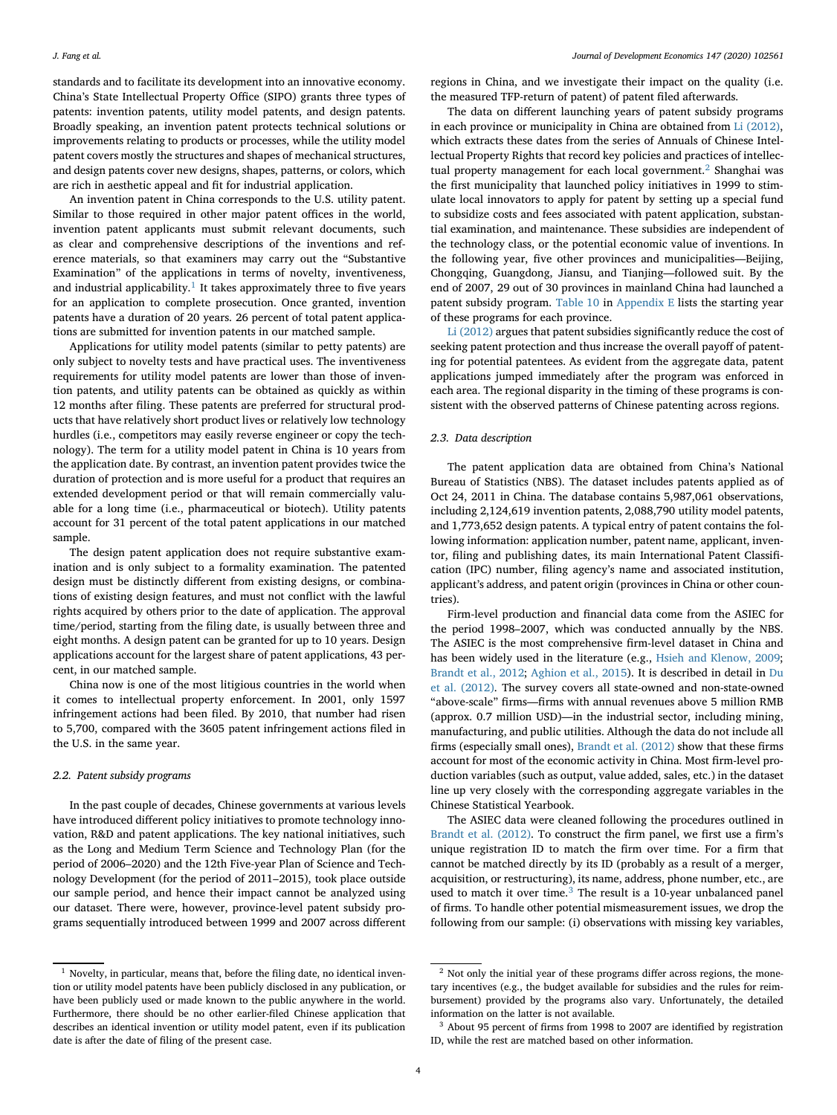standards and to facilitate its development into an innovative economy. China's State Intellectual Property Office (SIPO) grants three types of patents: invention patents, utility model patents, and design patents. Broadly speaking, an invention patent protects technical solutions or improvements relating to products or processes, while the utility model patent covers mostly the structures and shapes of mechanical structures, and design patents cover new designs, shapes, patterns, or colors, which are rich in aesthetic appeal and fit for industrial application.

An invention patent in China corresponds to the U.S. utility patent. Similar to those required in other major patent offices in the world, invention patent applicants must submit relevant documents, such as clear and comprehensive descriptions of the inventions and reference materials, so that examiners may carry out the "Substantive Examination" of the applications in terms of novelty, inventiveness, and industrial applicability.<sup>[1](#page-3-0)</sup> It takes approximately three to five years for an application to complete prosecution. Once granted, invention patents have a duration of 20 years. 26 percent of total patent applications are submitted for invention patents in our matched sample.

Applications for utility model patents (similar to petty patents) are only subject to novelty tests and have practical uses. The inventiveness requirements for utility model patents are lower than those of invention patents, and utility patents can be obtained as quickly as within 12 months after filing. These patents are preferred for structural products that have relatively short product lives or relatively low technology hurdles (i.e., competitors may easily reverse engineer or copy the technology). The term for a utility model patent in China is 10 years from the application date. By contrast, an invention patent provides twice the duration of protection and is more useful for a product that requires an extended development period or that will remain commercially valuable for a long time (i.e., pharmaceutical or biotech). Utility patents account for 31 percent of the total patent applications in our matched sample.

The design patent application does not require substantive examination and is only subject to a formality examination. The patented design must be distinctly different from existing designs, or combinations of existing design features, and must not conflict with the lawful rights acquired by others prior to the date of application. The approval time/period, starting from the filing date, is usually between three and eight months. A design patent can be granted for up to 10 years. Design applications account for the largest share of patent applications, 43 percent, in our matched sample.

China now is one of the most litigious countries in the world when it comes to intellectual property enforcement. In 2001, only 1597 infringement actions had been filed. By 2010, that number had risen to 5,700, compared with the 3605 patent infringement actions filed in the U.S. in the same year.

#### <span id="page-3-3"></span>*2.2. Patent subsidy programs*

In the past couple of decades, Chinese governments at various levels have introduced different policy initiatives to promote technology innovation, R&D and patent applications. The key national initiatives, such as the Long and Medium Term Science and Technology Plan (for the period of 2006–2020) and the 12th Five-year Plan of Science and Technology Development (for the period of 2011–2015), took place outside our sample period, and hence their impact cannot be analyzed using our dataset. There were, however, province-level patent subsidy programs sequentially introduced between 1999 and 2007 across different regions in China, and we investigate their impact on the quality (i.e. the measured TFP-return of patent) of patent filed afterwards.

The data on different launching years of patent subsidy programs in each province or municipality in China are obtained from [Li \(2012\),](#page-17-1) which extracts these dates from the series of Annuals of Chinese Intellectual Property Rights that record key policies and practices of intellec-tual property management for each local government.<sup>[2](#page-3-1)</sup> Shanghai was the first municipality that launched policy initiatives in 1999 to stimulate local innovators to apply for patent by setting up a special fund to subsidize costs and fees associated with patent application, substantial examination, and maintenance. These subsidies are independent of the technology class, or the potential economic value of inventions. In the following year, five other provinces and municipalities—Beijing, Chongqing, Guangdong, Jiansu, and Tianjing—followed suit. By the end of 2007, 29 out of 30 provinces in mainland China had launched a patent subsidy program. [Table 10](#page-17-28) in [Appendix E](#page-17-29) lists the starting year of these programs for each province.

[Li \(2012\)](#page-17-1) argues that patent subsidies significantly reduce the cost of seeking patent protection and thus increase the overall payoff of patenting for potential patentees. As evident from the aggregate data, patent applications jumped immediately after the program was enforced in each area. The regional disparity in the timing of these programs is consistent with the observed patterns of Chinese patenting across regions.

#### *2.3. Data description*

The patent application data are obtained from China's National Bureau of Statistics (NBS). The dataset includes patents applied as of Oct 24, 2011 in China. The database contains 5,987,061 observations, including 2,124,619 invention patents, 2,088,790 utility model patents, and 1,773,652 design patents. A typical entry of patent contains the following information: application number, patent name, applicant, inventor, filing and publishing dates, its main International Patent Classification (IPC) number, filing agency's name and associated institution, applicant's address, and patent origin (provinces in China or other countries).

Firm-level production and financial data come from the ASIEC for the period 1998–2007, which was conducted annually by the NBS. The ASIEC is the most comprehensive firm-level dataset in China and has been widely used in the literature (e.g., [Hsieh and Klenow, 2009;](#page-17-12) [Brandt et al., 2012;](#page-17-30) [Aghion et al., 2015\)](#page-17-21). It is described in detail in Du [et al. \(2012\). The survey covers all state-owned and non-state-owned](#page-17-31) "above-scale" firms—firms with annual revenues above 5 million RMB (approx. 0.7 million USD)—in the industrial sector, including mining, manufacturing, and public utilities. Although the data do not include all firms (especially small ones), [Brandt et al. \(2012\)](#page-17-30) show that these firms account for most of the economic activity in China. Most firm-level production variables (such as output, value added, sales, etc.) in the dataset line up very closely with the corresponding aggregate variables in the Chinese Statistical Yearbook.

The ASIEC data were cleaned following the procedures outlined in [Brandt et al. \(2012\).](#page-17-30) To construct the firm panel, we first use a firm's unique registration ID to match the firm over time. For a firm that cannot be matched directly by its ID (probably as a result of a merger, acquisition, or restructuring), its name, address, phone number, etc., are used to match it over time.<sup>[3](#page-3-2)</sup> The result is a 10-year unbalanced panel of firms. To handle other potential mismeasurement issues, we drop the following from our sample: (i) observations with missing key variables,

<span id="page-3-0"></span> $1$  Novelty, in particular, means that, before the filing date, no identical invention or utility model patents have been publicly disclosed in any publication, or have been publicly used or made known to the public anywhere in the world. Furthermore, there should be no other earlier-filed Chinese application that describes an identical invention or utility model patent, even if its publication date is after the date of filing of the present case.

<span id="page-3-1"></span><sup>&</sup>lt;sup>2</sup> Not only the initial year of these programs differ across regions, the monetary incentives (e.g., the budget available for subsidies and the rules for reimbursement) provided by the programs also vary. Unfortunately, the detailed information on the latter is not available.

<span id="page-3-2"></span><sup>3</sup> About 95 percent of firms from 1998 to 2007 are identified by registration ID, while the rest are matched based on other information.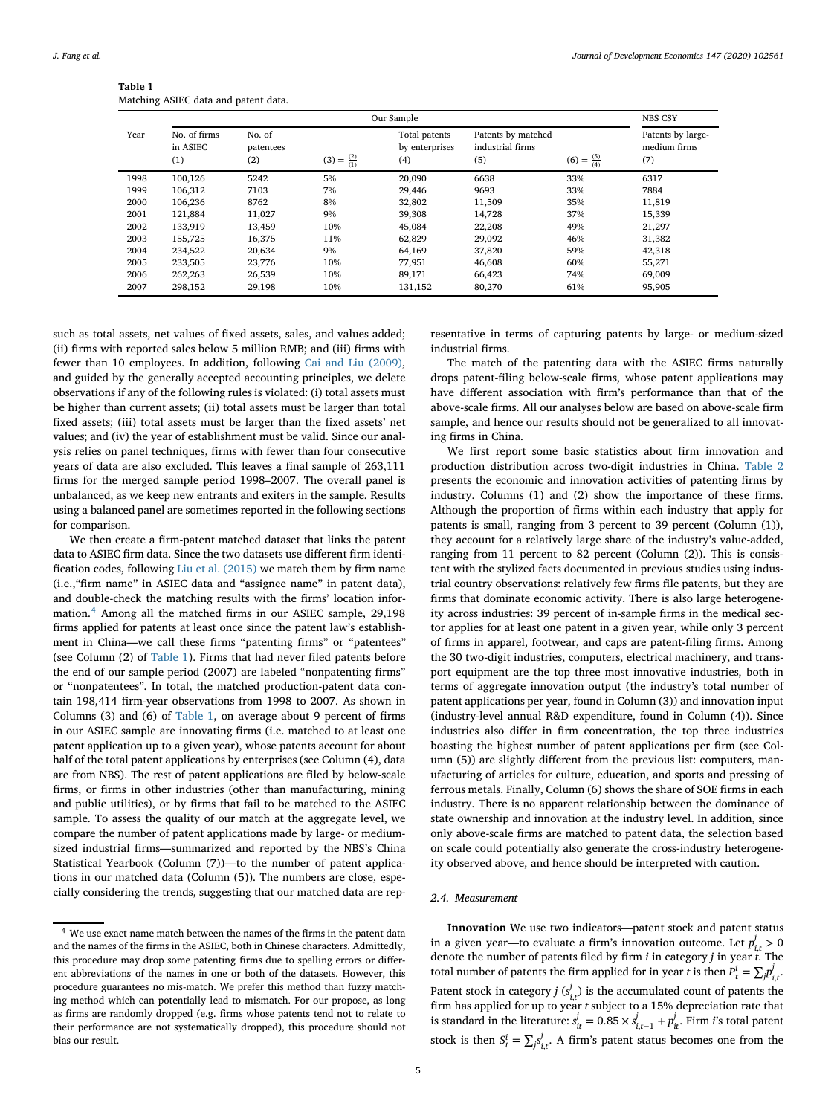| Table 1                              |
|--------------------------------------|
| Matching ASIEC data and patent data. |

<span id="page-4-1"></span>

|      |                                 |                            | <b>NBS CSY</b>          |                                        |                                               |                         |                                          |
|------|---------------------------------|----------------------------|-------------------------|----------------------------------------|-----------------------------------------------|-------------------------|------------------------------------------|
| Year | No. of firms<br>in ASIEC<br>(1) | No. of<br>patentees<br>(2) | $(3) = \frac{(2)}{(1)}$ | Total patents<br>by enterprises<br>(4) | Patents by matched<br>industrial firms<br>(5) | $(6) = \frac{(5)}{(4)}$ | Patents by large-<br>medium firms<br>(7) |
| 1998 | 100,126                         | 5242                       | 5%                      | 20,090                                 | 6638                                          | 33%                     | 6317                                     |
| 1999 | 106,312                         | 7103                       | 7%                      | 29,446                                 | 9693                                          | 33%                     | 7884                                     |
| 2000 | 106,236                         | 8762                       | 8%                      | 32,802                                 | 11,509                                        | 35%                     | 11,819                                   |
| 2001 | 121,884                         | 11,027                     | 9%                      | 39,308                                 | 14,728                                        | 37%                     | 15,339                                   |
| 2002 | 133,919                         | 13.459                     | 10%                     | 45.084                                 | 22.208                                        | 49%                     | 21,297                                   |
| 2003 | 155,725                         | 16,375                     | 11%                     | 62,829                                 | 29,092                                        | 46%                     | 31,382                                   |
| 2004 | 234,522                         | 20,634                     | 9%                      | 64,169                                 | 37,820                                        | 59%                     | 42,318                                   |
| 2005 | 233,505                         | 23,776                     | 10%                     | 77,951                                 | 46,608                                        | 60%                     | 55,271                                   |
| 2006 | 262,263                         | 26,539                     | 10%                     | 89,171                                 | 66,423                                        | 74%                     | 69,009                                   |
| 2007 | 298,152                         | 29,198                     | 10%                     | 131,152                                | 80,270                                        | 61%                     | 95,905                                   |

such as total assets, net values of fixed assets, sales, and values added; (ii) firms with reported sales below 5 million RMB; and (iii) firms with fewer than 10 employees. In addition, following [Cai and Liu \(2009\),](#page-17-32) and guided by the generally accepted accounting principles, we delete observations if any of the following rules is violated: (i) total assets must be higher than current assets; (ii) total assets must be larger than total fixed assets; (iii) total assets must be larger than the fixed assets' net values; and (iv) the year of establishment must be valid. Since our analysis relies on panel techniques, firms with fewer than four consecutive years of data are also excluded. This leaves a final sample of 263,111 firms for the merged sample period 1998–2007. The overall panel is unbalanced, as we keep new entrants and exiters in the sample. Results using a balanced panel are sometimes reported in the following sections for comparison.

We then create a firm-patent matched dataset that links the patent data to ASIEC firm data. Since the two datasets use different firm identification codes, following [Liu et al. \(2015\)](#page-17-33) we match them by firm name (i.e.,"firm name" in ASIEC data and "assignee name" in patent data), and double-check the matching results with the firms' location information.[4](#page-4-0) Among all the matched firms in our ASIEC sample, 29,198 firms applied for patents at least once since the patent law's establishment in China—we call these firms "patenting firms" or "patentees" (see Column (2) of [Table 1\)](#page-4-1). Firms that had never filed patents before the end of our sample period (2007) are labeled "nonpatenting firms" or "nonpatentees". In total, the matched production-patent data contain 198,414 firm-year observations from 1998 to 2007. As shown in Columns (3) and (6) of [Table 1,](#page-4-1) on average about 9 percent of firms in our ASIEC sample are innovating firms (i.e. matched to at least one patent application up to a given year), whose patents account for about half of the total patent applications by enterprises (see Column (4), data are from NBS). The rest of patent applications are filed by below-scale firms, or firms in other industries (other than manufacturing, mining and public utilities), or by firms that fail to be matched to the ASIEC sample. To assess the quality of our match at the aggregate level, we compare the number of patent applications made by large- or mediumsized industrial firms—summarized and reported by the NBS's China Statistical Yearbook (Column (7))—to the number of patent applications in our matched data (Column (5)). The numbers are close, especially considering the trends, suggesting that our matched data are representative in terms of capturing patents by large- or medium-sized industrial firms.

The match of the patenting data with the ASIEC firms naturally drops patent-filing below-scale firms, whose patent applications may have different association with firm's performance than that of the above-scale firms. All our analyses below are based on above-scale firm sample, and hence our results should not be generalized to all innovating firms in China.

We first report some basic statistics about firm innovation and production distribution across two-digit industries in China. [Table 2](#page-5-0) presents the economic and innovation activities of patenting firms by industry. Columns (1) and (2) show the importance of these firms. Although the proportion of firms within each industry that apply for patents is small, ranging from 3 percent to 39 percent (Column (1)), they account for a relatively large share of the industry's value-added, ranging from 11 percent to 82 percent (Column (2)). This is consistent with the stylized facts documented in previous studies using industrial country observations: relatively few firms file patents, but they are firms that dominate economic activity. There is also large heterogeneity across industries: 39 percent of in-sample firms in the medical sector applies for at least one patent in a given year, while only 3 percent of firms in apparel, footwear, and caps are patent-filing firms. Among the 30 two-digit industries, computers, electrical machinery, and transport equipment are the top three most innovative industries, both in terms of aggregate innovation output (the industry's total number of patent applications per year, found in Column (3)) and innovation input (industry-level annual R&D expenditure, found in Column (4)). Since industries also differ in firm concentration, the top three industries boasting the highest number of patent applications per firm (see Column (5)) are slightly different from the previous list: computers, manufacturing of articles for culture, education, and sports and pressing of ferrous metals. Finally, Column (6) shows the share of SOE firms in each industry. There is no apparent relationship between the dominance of state ownership and innovation at the industry level. In addition, since only above-scale firms are matched to patent data, the selection based on scale could potentially also generate the cross-industry heterogeneity observed above, and hence should be interpreted with caution.

# *2.4. Measurement*

**Innovation** We use two indicators—patent stock and patent status in a given year—to evaluate a firm's innovation outcome. Let  $p_{i,t}^{j} > 0$ denote the number of patents filed by firm *i* in category *j* in year *t*. The total number of patents the firm applied for in year *t* is then  $P_t^i = \sum_j p_{i,t}^j$ . Patent stock in category *j*  $(s<sup>j</sup><sub>i,t</sub>)$  is the accumulated count of patents the firm has applied for up to year *t* subject to a 15% depreciation rate that is standard in the literature:  $s_{it}^{j} = 0.85 \times s_{i,t-1}^{j} + p_{it}^{j}$ . Firm *i*'s total patent stock is then  $S_t^i = \sum_j s_{i,t}^j$ . A firm's patent status becomes one from the

<span id="page-4-0"></span><sup>4</sup> We use exact name match between the names of the firms in the patent data and the names of the firms in the ASIEC, both in Chinese characters. Admittedly, this procedure may drop some patenting firms due to spelling errors or different abbreviations of the names in one or both of the datasets. However, this procedure guarantees no mis-match. We prefer this method than fuzzy matching method which can potentially lead to mismatch. For our propose, as long as firms are randomly dropped (e.g. firms whose patents tend not to relate to their performance are not systematically dropped), this procedure should not bias our result.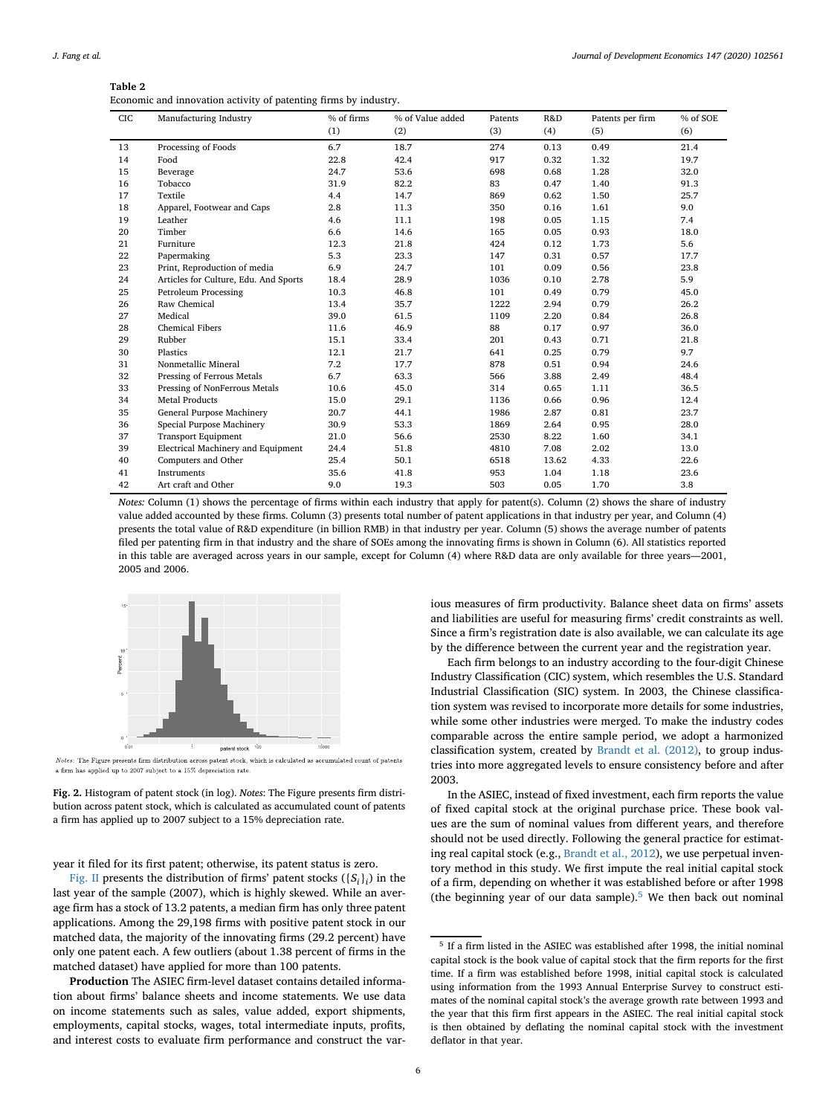**Table 2**

<span id="page-5-0"></span>

| <b>CIC</b> | Manufacturing Industry                | % of firms | % of Value added | Patents | R&D   | Patents per firm | % of SOE |
|------------|---------------------------------------|------------|------------------|---------|-------|------------------|----------|
|            |                                       | (1)        | (2)              | (3)     | (4)   | (5)              | (6)      |
| 13         | Processing of Foods                   | 6.7        | 18.7             | 274     | 0.13  | 0.49             | 21.4     |
| 14         | Food                                  | 22.8       | 42.4             | 917     | 0.32  | 1.32             | 19.7     |
| 15         | Beverage                              | 24.7       | 53.6             | 698     | 0.68  | 1.28             | 32.0     |
| 16         | Tobacco                               | 31.9       | 82.2             | 83      | 0.47  | 1.40             | 91.3     |
| 17         | Textile                               | 4.4        | 14.7             | 869     | 0.62  | 1.50             | 25.7     |
| 18         | Apparel, Footwear and Caps            | 2.8        | 11.3             | 350     | 0.16  | 1.61             | 9.0      |
| 19         | Leather                               | 4.6        | 11.1             | 198     | 0.05  | 1.15             | 7.4      |
| 20         | Timber                                | 6.6        | 14.6             | 165     | 0.05  | 0.93             | 18.0     |
| 21         | Furniture                             | 12.3       | 21.8             | 424     | 0.12  | 1.73             | 5.6      |
| 22         | Papermaking                           | 5.3        | 23.3             | 147     | 0.31  | 0.57             | 17.7     |
| 23         | Print, Reproduction of media          | 6.9        | 24.7             | 101     | 0.09  | 0.56             | 23.8     |
| 24         | Articles for Culture, Edu. And Sports | 18.4       | 28.9             | 1036    | 0.10  | 2.78             | 5.9      |
| 25         | <b>Petroleum Processing</b>           | 10.3       | 46.8             | 101     | 0.49  | 0.79             | 45.0     |
| 26         | Raw Chemical                          | 13.4       | 35.7             | 1222    | 2.94  | 0.79             | 26.2     |
| 27         | Medical                               | 39.0       | 61.5             | 1109    | 2.20  | 0.84             | 26.8     |
| 28         | <b>Chemical Fibers</b>                | 11.6       | 46.9             | 88      | 0.17  | 0.97             | 36.0     |
| 29         | Rubber                                | 15.1       | 33.4             | 201     | 0.43  | 0.71             | 21.8     |
| 30         | Plastics                              | 12.1       | 21.7             | 641     | 0.25  | 0.79             | 9.7      |
| 31         | Nonmetallic Mineral                   | 7.2        | 17.7             | 878     | 0.51  | 0.94             | 24.6     |
| 32         | Pressing of Ferrous Metals            | 6.7        | 63.3             | 566     | 3.88  | 2.49             | 48.4     |
| 33         | Pressing of NonFerrous Metals         | 10.6       | 45.0             | 314     | 0.65  | 1.11             | 36.5     |
| 34         | <b>Metal Products</b>                 | 15.0       | 29.1             | 1136    | 0.66  | 0.96             | 12.4     |
| 35         | General Purpose Machinery             | 20.7       | 44.1             | 1986    | 2.87  | 0.81             | 23.7     |
| 36         | Special Purpose Machinery             | 30.9       | 53.3             | 1869    | 2.64  | 0.95             | 28.0     |
| 37         | <b>Transport Equipment</b>            | 21.0       | 56.6             | 2530    | 8.22  | 1.60             | 34.1     |
| 39         | Electrical Machinery and Equipment    | 24.4       | 51.8             | 4810    | 7.08  | 2.02             | 13.0     |
| 40         | Computers and Other                   | 25.4       | 50.1             | 6518    | 13.62 | 4.33             | 22.6     |
| 41         | <b>Instruments</b>                    | 35.6       | 41.8             | 953     | 1.04  | 1.18             | 23.6     |
| 42         | Art craft and Other                   | 9.0        | 19.3             | 503     | 0.05  | 1.70             | 3.8      |

*Notes:* Column (1) shows the percentage of firms within each industry that apply for patent(s). Column (2) shows the share of industry value added accounted by these firms. Column (3) presents total number of patent applications in that industry per year, and Column (4) presents the total value of R&D expenditure (in billion RMB) in that industry per year. Column (5) shows the average number of patents filed per patenting firm in that industry and the share of SOEs among the innovating firms is shown in Column (6). All statistics reported in this table are averaged across years in our sample, except for Column (4) where R&D data are only available for three years—2001, 2005 and 2006.



Economic and innovation activity of patenting firms by industry.



**Fig. 2.** Histogram of patent stock (in log). *Notes*: The Figure presents firm distribution across patent stock, which is calculated as accumulated count of patents a firm has applied up to 2007 subject to a 15% depreciation rate.

year it filed for its first patent; otherwise, its patent status is zero.

[Fig. II](#page-5-1) presents the distribution of firms' patent stocks  $({S_i}_i)$  in the last year of the sample (2007), which is highly skewed. While an average firm has a stock of 13.2 patents, a median firm has only three patent applications. Among the 29,198 firms with positive patent stock in our matched data, the majority of the innovating firms (29.2 percent) have only one patent each. A few outliers (about 1.38 percent of firms in the matched dataset) have applied for more than 100 patents.

**Production** The ASIEC firm-level dataset contains detailed information about firms' balance sheets and income statements. We use data on income statements such as sales, value added, export shipments, employments, capital stocks, wages, total intermediate inputs, profits, and interest costs to evaluate firm performance and construct the various measures of firm productivity. Balance sheet data on firms' assets and liabilities are useful for measuring firms' credit constraints as well. Since a firm's registration date is also available, we can calculate its age by the difference between the current year and the registration year.

Each firm belongs to an industry according to the four-digit Chinese Industry Classification (CIC) system, which resembles the U.S. Standard Industrial Classification (SIC) system. In 2003, the Chinese classification system was revised to incorporate more details for some industries, while some other industries were merged. To make the industry codes comparable across the entire sample period, we adopt a harmonized classification system, created by [Brandt et al. \(2012\),](#page-17-30) to group industries into more aggregated levels to ensure consistency before and after 2003.

<span id="page-5-1"></span>In the ASIEC, instead of fixed investment, each firm reports the value of fixed capital stock at the original purchase price. These book values are the sum of nominal values from different years, and therefore should not be used directly. Following the general practice for estimating real capital stock (e.g., [Brandt et al., 2012\)](#page-17-30), we use perpetual inventory method in this study. We first impute the real initial capital stock of a firm, depending on whether it was established before or after 1998 (the beginning year of our data sample). $5$  We then back out nominal

<span id="page-5-2"></span><sup>5</sup> If a firm listed in the ASIEC was established after 1998, the initial nominal capital stock is the book value of capital stock that the firm reports for the first time. If a firm was established before 1998, initial capital stock is calculated using information from the 1993 Annual Enterprise Survey to construct estimates of the nominal capital stock's the average growth rate between 1993 and the year that this firm first appears in the ASIEC. The real initial capital stock is then obtained by deflating the nominal capital stock with the investment deflator in that year.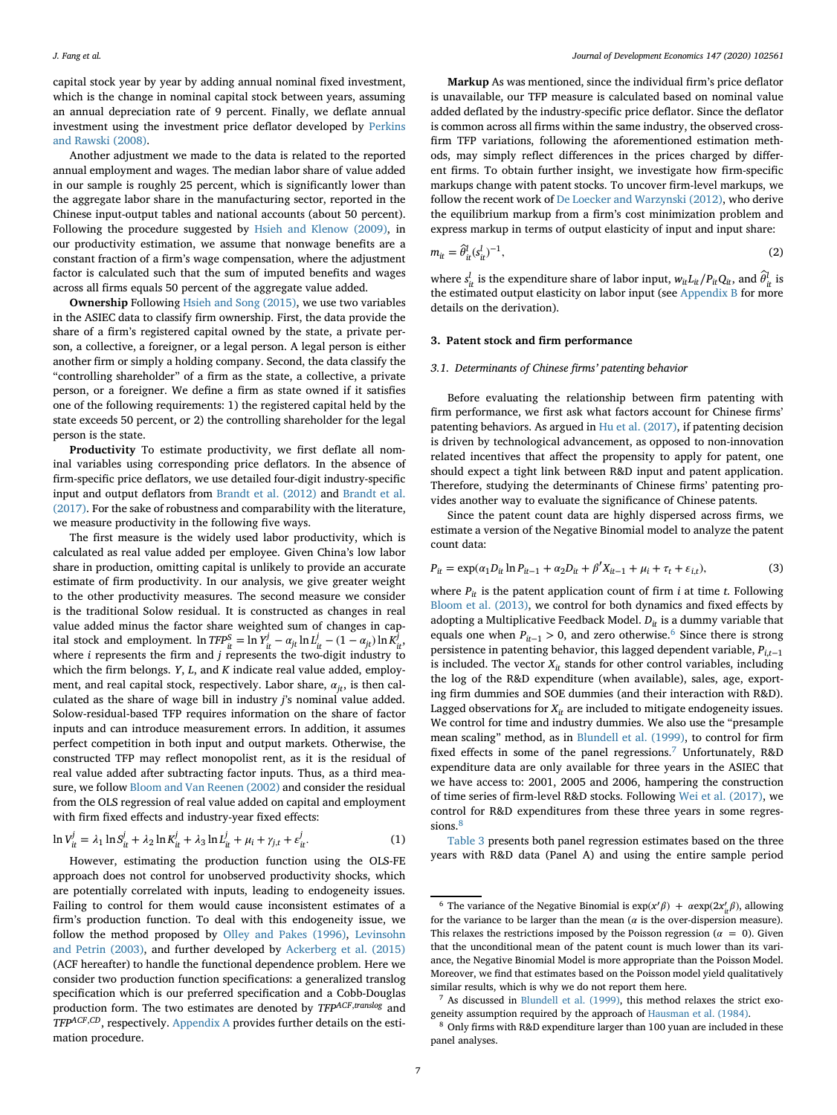capital stock year by year by adding annual nominal fixed investment, which is the change in nominal capital stock between years, assuming an annual depreciation rate of 9 percent. Finally, we deflate annual [investment using the investment price deflator developed by](#page-18-7) Perkins and Rawski (2008).

Another adjustment we made to the data is related to the reported annual employment and wages. The median labor share of value added in our sample is roughly 25 percent, which is significantly lower than the aggregate labor share in the manufacturing sector, reported in the Chinese input-output tables and national accounts (about 50 percent). Following the procedure suggested by [Hsieh and Klenow \(2009\),](#page-17-12) in our productivity estimation, we assume that nonwage benefits are a constant fraction of a firm's wage compensation, where the adjustment factor is calculated such that the sum of imputed benefits and wages across all firms equals 50 percent of the aggregate value added.

**Ownership** Following [Hsieh and Song \(2015\),](#page-17-14) we use two variables in the ASIEC data to classify firm ownership. First, the data provide the share of a firm's registered capital owned by the state, a private person, a collective, a foreigner, or a legal person. A legal person is either another firm or simply a holding company. Second, the data classify the "controlling shareholder" of a firm as the state, a collective, a private person, or a foreigner. We define a firm as state owned if it satisfies one of the following requirements: 1) the registered capital held by the state exceeds 50 percent, or 2) the controlling shareholder for the legal person is the state.

**Productivity** To estimate productivity, we first deflate all nominal variables using corresponding price deflators. In the absence of firm-specific price deflators, we use detailed four-digit industry-specific input and output deflators from [Brandt et al. \(2012\)](#page-17-30) and Brandt et al. [\(2017\). For the sake of robustness and comparability with the literature,](#page-17-34) we measure productivity in the following five ways.

The first measure is the widely used labor productivity, which is calculated as real value added per employee. Given China's low labor share in production, omitting capital is unlikely to provide an accurate estimate of firm productivity. In our analysis, we give greater weight to the other productivity measures. The second measure we consider is the traditional Solow residual. It is constructed as changes in real value added minus the factor share weighted sum of changes in capital stock and employment. ln  $TFP_{it}^S = \ln Y_{it}^j - \alpha_{jt} \ln L_{it}^j - (1 - \alpha_{jt}) \ln K_{it}^j$ , where *i* represents the firm and *j* represents the two-digit industry to which the firm belongs. *Y*, *L*, and *K* indicate real value added, employment, and real capital stock, respectively. Labor share,  $\alpha_{it}$ , is then calculated as the share of wage bill in industry *j*'s nominal value added. Solow-residual-based TFP requires information on the share of factor inputs and can introduce measurement errors. In addition, it assumes perfect competition in both input and output markets. Otherwise, the constructed TFP may reflect monopolist rent, as it is the residual of real value added after subtracting factor inputs. Thus, as a third measure, we follow [Bloom and Van Reenen \(2002\)](#page-17-7) and consider the residual from the OLS regression of real value added on capital and employment with firm fixed effects and industry-year fixed effects:

$$
\ln V_{it}^{j} = \lambda_1 \ln S_{it}^{j} + \lambda_2 \ln K_{it}^{j} + \lambda_3 \ln L_{it}^{j} + \mu_i + \gamma_{j,t} + \epsilon_{it}^{j}.
$$
 (1)

However, estimating the production function using the OLS-FE approach does not control for unobserved productivity shocks, which are potentially correlated with inputs, leading to endogeneity issues. Failing to control for them would cause inconsistent estimates of a firm's production function. To deal with this endogeneity issue, we follow the method proposed by [Olley and Pakes \(1996\),](#page-17-35) Levinsohn [and Petrin \(2003\), and further developed by](#page-17-36) [Ackerberg et al. \(2015\)](#page-17-11) (ACF hereafter) to handle the functional dependence problem. Here we consider two production function specifications: a generalized translog specification which is our preferred specification and a Cobb-Douglas production form. The two estimates are denoted by *TFPACF*,*translog* and *TFPACF*,*CD*, respectively. [Appendix A](#page-15-0) provides further details on the estimation procedure.

**Markup** As was mentioned, since the individual firm's price deflator is unavailable, our TFP measure is calculated based on nominal value added deflated by the industry-specific price deflator. Since the deflator is common across all firms within the same industry, the observed crossfirm TFP variations, following the aforementioned estimation methods, may simply reflect differences in the prices charged by different firms. To obtain further insight, we investigate how firm-specific markups change with patent stocks. To uncover firm-level markups, we follow the recent work of [De Loecker and Warzynski \(2012\),](#page-17-37) who derive the equilibrium markup from a firm's cost minimization problem and express markup in terms of output elasticity of input and input share:

$$
m_{it} = \hat{\theta}_{it}^l (s_{it}^l)^{-1},\tag{2}
$$

where  $s_{it}^l$  is the expenditure share of labor input,  $w_{it}L_{it}/P_{it}Q_{it}$ , and  $\hat{\theta}_{it}^l$  is the estimated output elasticity on labor input (see [Appendix B](#page-15-1) for more details on the derivation).

# <span id="page-6-4"></span><span id="page-6-0"></span>**3. Patent stock and firm performance**

# *3.1. Determinants of Chinese firms' patenting behavior*

Before evaluating the relationship between firm patenting with firm performance, we first ask what factors account for Chinese firms' patenting behaviors. As argued in [Hu et al. \(2017\),](#page-17-2) if patenting decision is driven by technological advancement, as opposed to non-innovation related incentives that affect the propensity to apply for patent, one should expect a tight link between R&D input and patent application. Therefore, studying the determinants of Chinese firms' patenting provides another way to evaluate the significance of Chinese patents.

Since the patent count data are highly dispersed across firms, we estimate a version of the Negative Binomial model to analyze the patent count data:

$$
P_{it} = \exp(\alpha_1 D_{it} \ln P_{it-1} + \alpha_2 D_{it} + \beta' X_{it-1} + \mu_i + \tau_t + \varepsilon_{i,t}),
$$
\n(3)

where  $P_{it}$  is the patent application count of firm *i* at time *t*. Following [Bloom et al. \(2013\),](#page-17-38) we control for both dynamics and fixed effects by adopting a Multiplicative Feedback Model. *Dit* is a dummy variable that equals one when  $P_{it-1} > 0$ , and zero otherwise.<sup>[6](#page-6-1)</sup> Since there is strong persistence in patenting behavior, this lagged dependent variable, *Pi*,*t*−<sup>1</sup> is included. The vector  $X_{it}$  stands for other control variables, including the log of the R&D expenditure (when available), sales, age, exporting firm dummies and SOE dummies (and their interaction with R&D). Lagged observations for  $X_{it}$  are included to mitigate endogeneity issues. We control for time and industry dummies. We also use the "presample mean scaling" method, as in [Blundell et al. \(1999\),](#page-17-39) to control for firm fixed effects in some of the panel regressions.<sup>[7](#page-6-2)</sup> Unfortunately, R&D expenditure data are only available for three years in the ASIEC that we have access to: 2001, 2005 and 2006, hampering the construction of time series of firm-level R&D stocks. Following [Wei et al. \(2017\),](#page-18-0) we control for R&D expenditures from these three years in some regres-sions.<sup>[8](#page-6-3)</sup>

[Table 3](#page-7-0) presents both panel regression estimates based on the three years with R&D data (Panel A) and using the entire sample period

<span id="page-6-1"></span><sup>&</sup>lt;sup>6</sup> The variance of the Negative Binomial is  $exp(x'\beta) + \alpha exp(2x'_{it}\beta)$ , allowing for the variance to be larger than the mean ( $\alpha$  is the over-dispersion measure). This relaxes the restrictions imposed by the Poisson regression ( $\alpha = 0$ ). Given that the unconditional mean of the patent count is much lower than its variance, the Negative Binomial Model is more appropriate than the Poisson Model. Moreover, we find that estimates based on the Poisson model yield qualitatively similar results, which is why we do not report them here.

<span id="page-6-2"></span> $7$  As discussed in [Blundell et al. \(1999\),](#page-17-39) this method relaxes the strict exogeneity assumption required by the approach of [Hausman et al. \(1984\).](#page-17-40)

<span id="page-6-3"></span><sup>&</sup>lt;sup>8</sup> Only firms with R&D expenditure larger than 100 yuan are included in these panel analyses.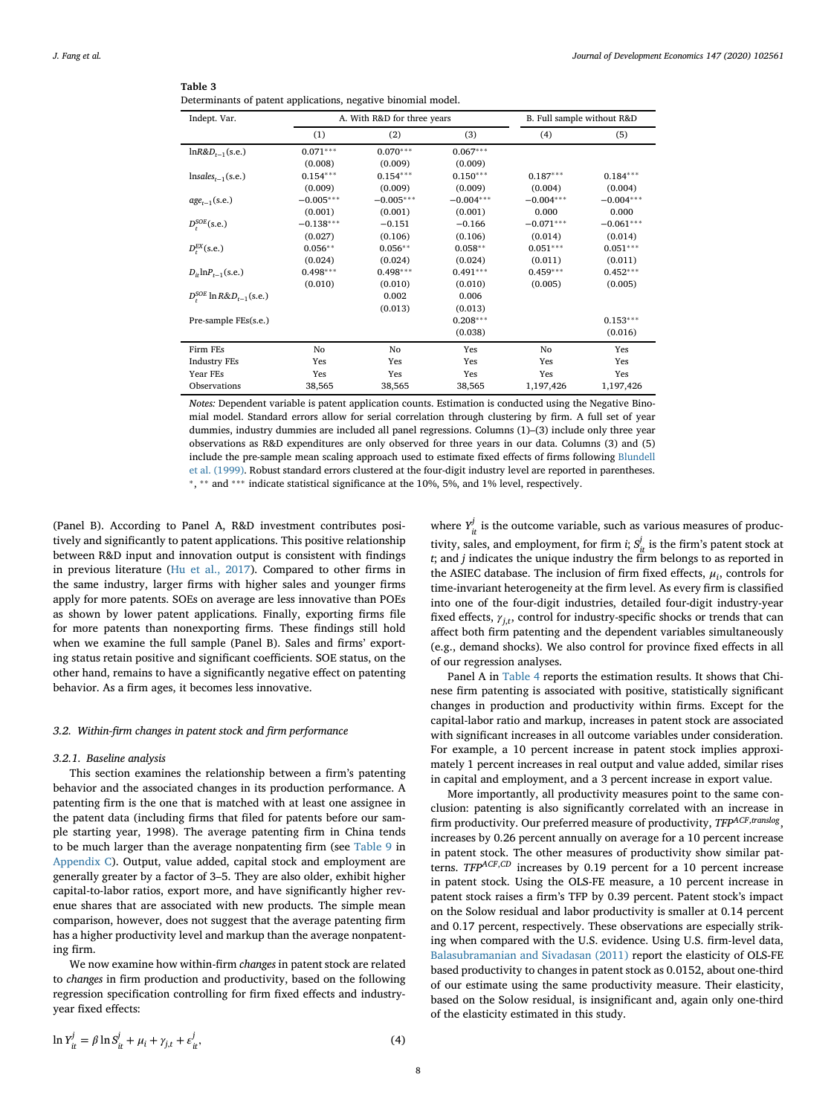| Table 3 |                                                               |  |
|---------|---------------------------------------------------------------|--|
|         | Determinants of patent applications, negative binomial model. |  |

<span id="page-7-0"></span>

| Indept. Var.                              |             | A. With R&D for three years |             | B. Full sample without R&D |             |
|-------------------------------------------|-------------|-----------------------------|-------------|----------------------------|-------------|
|                                           | (1)         | (2)                         | (3)         | (4)                        | (5)         |
| $lnR&D_{t-1}(s.e.)$                       | $0.071***$  | $0.070***$                  | $0.067***$  |                            |             |
|                                           | (0.008)     | (0.009)                     | (0.009)     |                            |             |
| $lnsales_{t-1}(s.e.)$                     | $0.154***$  | $0.154***$                  | $0.150***$  | $0.187***$                 | $0.184***$  |
|                                           | (0.009)     | (0.009)                     | (0.009)     | (0.004)                    | (0.004)     |
| $age_{t-1}(s.e.)$                         | $-0.005***$ | $-0.005***$                 | $-0.004***$ | $-0.004***$                | $-0.004***$ |
|                                           | (0.001)     | (0.001)                     | (0.001)     | 0.000                      | 0.000       |
| $D_{t}^{SOE}(s.e.)$                       | $-0.138***$ | $-0.151$                    | $-0.166$    | $-0.071***$                | $-0.061***$ |
|                                           | (0.027)     | (0.106)                     | (0.106)     | (0.014)                    | (0.014)     |
| $D_{t}^{EX}$ (s.e.)                       | $0.056**$   | $0.056**$                   | $0.058**$   | $0.051***$                 | $0.051***$  |
|                                           | (0.024)     | (0.024)                     | (0.024)     | (0.011)                    | (0.011)     |
| $D_{it}$ ln $P_{t-1}$ (s.e.)              | $0.498***$  | $0.498***$                  | $0.491***$  | $0.459***$                 | $0.452***$  |
|                                           | (0.010)     | (0.010)                     | (0.010)     | (0.005)                    | (0.005)     |
| $D_{\rm t}^{SOE} \ln R \& D_{t-1}$ (s.e.) |             | 0.002                       | 0.006       |                            |             |
|                                           |             | (0.013)                     | (0.013)     |                            |             |
| Pre-sample FEs(s.e.)                      |             |                             | $0.208***$  |                            | $0.153***$  |
|                                           |             |                             | (0.038)     |                            | (0.016)     |
| Firm FEs                                  | No          | No                          | Yes         | No                         | Yes         |
| <b>Industry FEs</b>                       | Yes         | Yes                         | Yes         | Yes                        | Yes         |
| Year FEs                                  | Yes         | Yes                         | Yes         | Yes                        | Yes         |
| Observations                              | 38,565      | 38,565                      | 38,565      | 1,197,426                  | 1,197,426   |

*Notes:* Dependent variable is patent application counts. Estimation is conducted using the Negative Binomial model. Standard errors allow for serial correlation through clustering by firm. A full set of year dummies, industry dummies are included all panel regressions. Columns (1)–(3) include only three year observations as R&D expenditures are only observed for three years in our data. Columns (3) and (5) include the pre-sample mean scaling approach used to estimate fixed effects of firms following Blundell [et al. \(1999\). Robust standard errors clustered at the four-digit industry level are reported in parentheses.](#page-17-39) <sup>∗</sup>, ∗∗ and ∗∗∗ indicate statistical significance at the 10%, 5%, and 1% level, respectively.

(Panel B). According to Panel A, R&D investment contributes positively and significantly to patent applications. This positive relationship between R&D input and innovation output is consistent with findings in previous literature [\(Hu et al., 2017\)](#page-17-2). Compared to other firms in the same industry, larger firms with higher sales and younger firms apply for more patents. SOEs on average are less innovative than POEs as shown by lower patent applications. Finally, exporting firms file for more patents than nonexporting firms. These findings still hold when we examine the full sample (Panel B). Sales and firms' exporting status retain positive and significant coefficients. SOE status, on the other hand, remains to have a significantly negative effect on patenting behavior. As a firm ages, it becomes less innovative.

#### *3.2. Within-firm changes in patent stock and firm performance*

#### *3.2.1. Baseline analysis*

This section examines the relationship between a firm's patenting behavior and the associated changes in its production performance. A patenting firm is the one that is matched with at least one assignee in the patent data (including firms that filed for patents before our sample starting year, 1998). The average patenting firm in China tends to be much larger than the average nonpatenting firm (see [Table 9](#page-16-0) in [Appendix C\)](#page-16-1). Output, value added, capital stock and employment are generally greater by a factor of 3–5. They are also older, exhibit higher capital-to-labor ratios, export more, and have significantly higher revenue shares that are associated with new products. The simple mean comparison, however, does not suggest that the average patenting firm has a higher productivity level and markup than the average nonpatenting firm.

We now examine how within-firm *changes* in patent stock are related to *changes* in firm production and productivity, based on the following regression specification controlling for firm fixed effects and industryyear fixed effects:

where  $Y^j_{it}$  is the outcome variable, such as various measures of productivity, sales, and employment, for firm *i*;  $S$ <sup>*i*</sup><sub>*it*</sub> is the firm's patent stock at *t*; and *j* indicates the unique industry the firm belongs to as reported in the ASIEC database. The inclusion of firm fixed effects,  $\mu_i$ , controls for time-invariant heterogeneity at the firm level. As every firm is classified into one of the four-digit industries, detailed four-digit industry-year fixed effects,  $\gamma_{i,t}$ , control for industry-specific shocks or trends that can affect both firm patenting and the dependent variables simultaneously (e.g., demand shocks). We also control for province fixed effects in all of our regression analyses.

Panel A in [Table 4](#page-8-0) reports the estimation results. It shows that Chinese firm patenting is associated with positive, statistically significant changes in production and productivity within firms. Except for the capital-labor ratio and markup, increases in patent stock are associated with significant increases in all outcome variables under consideration. For example, a 10 percent increase in patent stock implies approximately 1 percent increases in real output and value added, similar rises in capital and employment, and a 3 percent increase in export value.

More importantly, all productivity measures point to the same conclusion: patenting is also significantly correlated with an increase in firm productivity. Our preferred measure of productivity, *TFPACF*,*translog* , increases by 0.26 percent annually on average for a 10 percent increase in patent stock. The other measures of productivity show similar patterns. *TFPACF*,*CD* increases by 0.19 percent for a 10 percent increase in patent stock. Using the OLS-FE measure, a 10 percent increase in patent stock raises a firm's TFP by 0.39 percent. Patent stock's impact on the Solow residual and labor productivity is smaller at 0.14 percent and 0.17 percent, respectively. These observations are especially striking when compared with the U.S. evidence. Using U.S. firm-level data, [Balasubramanian and Sivadasan \(2011\)](#page-17-10) report the elasticity of OLS-FE based productivity to changes in patent stock as 0.0152, about one-third of our estimate using the same productivity measure. Their elasticity, based on the Solow residual, is insignificant and, again only one-third of the elasticity estimated in this study.

<span id="page-7-1"></span>
$$
\ln Y_{it}^j = \beta \ln S_{it}^j + \mu_i + \gamma_{j,t} + \epsilon_{it}^j,
$$
\n<sup>(4)</sup>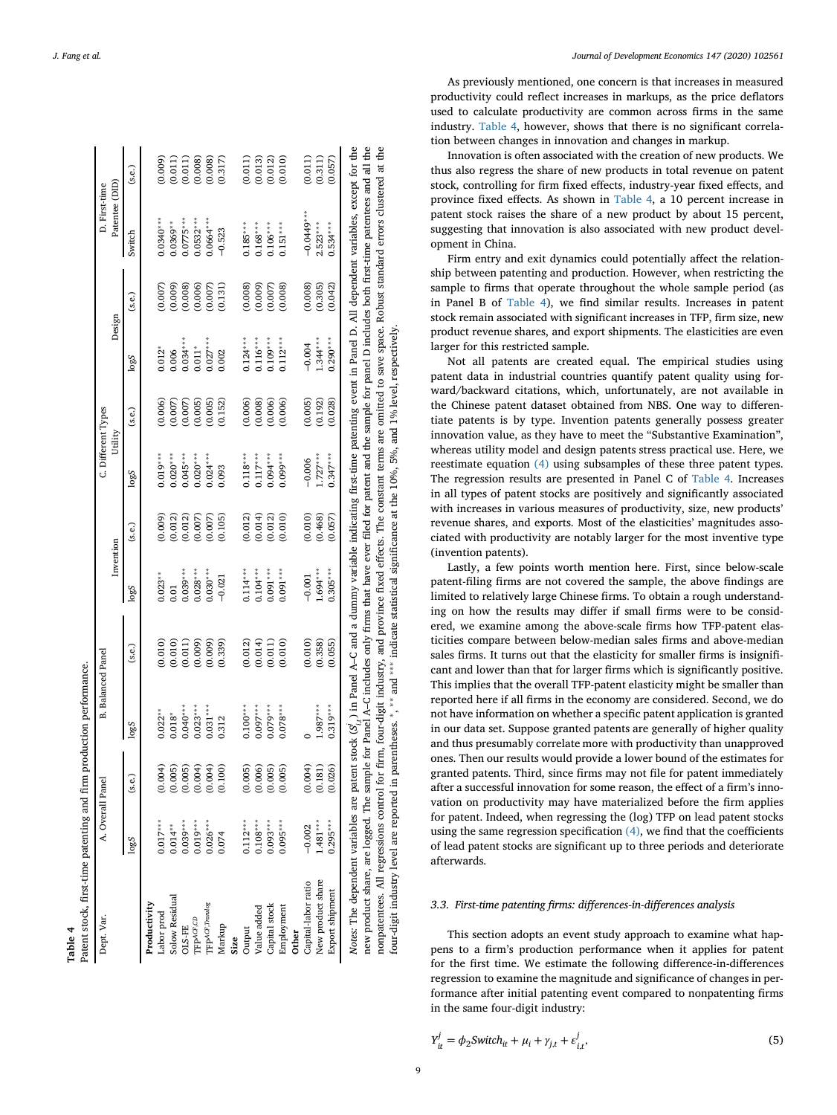| Dept. Var.                                                                                                                                                                                                                                                                                                                                                                               |            | A. Overall Panel |            | <b>B.</b> Balanced Panel |            |          | C. Different Types |         |            |         | D. First-time                                                                                                                                |                       |
|------------------------------------------------------------------------------------------------------------------------------------------------------------------------------------------------------------------------------------------------------------------------------------------------------------------------------------------------------------------------------------------|------------|------------------|------------|--------------------------|------------|----------|--------------------|---------|------------|---------|----------------------------------------------------------------------------------------------------------------------------------------------|-----------------------|
|                                                                                                                                                                                                                                                                                                                                                                                          |            |                  |            |                          | Invention  |          | Utility            |         | Design     |         | Patentee (DID)                                                                                                                               |                       |
|                                                                                                                                                                                                                                                                                                                                                                                          | logS       | (s.e.)           | logS       | (s.e.)                   | logS       | (s.e.)   | logS               | (s.e.)  | logS       | (s.e.)  | Switch                                                                                                                                       | (s.e.)                |
| Productivity                                                                                                                                                                                                                                                                                                                                                                             |            |                  |            |                          |            |          |                    |         |            |         |                                                                                                                                              |                       |
| Labor prod                                                                                                                                                                                                                                                                                                                                                                               | $0.017***$ | (0.004)          | $0.022**$  | (0.010)                  | $0.023**$  | (600, 0) | $0.019***$         | (0.006) | $0.012*$   | (0.007) | $0.0340***$                                                                                                                                  | (0.009)               |
| Solow Residual                                                                                                                                                                                                                                                                                                                                                                           | $0.014***$ | (0.005)          | $0.018*$   | (0.010)                  | 0.01       | (0.012)  | $0.020***$         | (0.007) | 0.006      | (600.0) | $0369***$                                                                                                                                    | (0.011)               |
| OLS-FE                                                                                                                                                                                                                                                                                                                                                                                   | $0.039***$ | (0.005)          | $0.040***$ | (0.011)                  | $0.039***$ | (0.012)  | $0.045***$         | (0.007) | $0.034***$ | (0.008) | $0.0775***$                                                                                                                                  | (0.011)               |
| $\ensuremath{\mathsf{TFP}}^{\ensuremath{\mathsf{ACF}},\ensuremath{\mathsf{CD}}}$                                                                                                                                                                                                                                                                                                         | $0.019***$ | (0.004)          | $0.023***$ | (0.009)                  | $0.028***$ | (0.007)  | $0.020***$         | (0.005) | $0.011*$   | (0.006) | $0.0532***$                                                                                                                                  | (0.008)               |
| TFPACF, Translog                                                                                                                                                                                                                                                                                                                                                                         | $0.026***$ | (0.004)          | $0.031***$ | (0.009)                  | $0.030***$ | (0.007)  | $0.024***$         | (0.005) | $0.027***$ | (0.007) | $0.0664***$                                                                                                                                  | (0.008)               |
| Markup                                                                                                                                                                                                                                                                                                                                                                                   | 0.074      | (0.100)          | 0.312      | (0.339)                  | $-0.021$   | (0.105)  | 0.093              | (0.152) | 0.002      | (0.131) | $-0.523$                                                                                                                                     | (0.317)               |
| Size                                                                                                                                                                                                                                                                                                                                                                                     |            |                  |            |                          |            |          |                    |         |            |         |                                                                                                                                              |                       |
| Output                                                                                                                                                                                                                                                                                                                                                                                   | $0.112***$ | (0.005)          | $0.100***$ | (0.012)                  | $0.114***$ | (0.012)  | $0.118***$         | (0.006) | $0.124***$ | (0.008) | $0.185***$                                                                                                                                   | $\left( 0.011\right)$ |
| Value added                                                                                                                                                                                                                                                                                                                                                                              | $0.108***$ | (0.006)          | $0.097***$ | (0.014)                  | $0.104***$ | (0.014)  | $0.117***$         | (0.008) | $0.116***$ | (0.009) | $0.168***$                                                                                                                                   | (0.013)               |
| Capital stock                                                                                                                                                                                                                                                                                                                                                                            | $0.093***$ | (0.005)          | $0.079***$ | (0.011)                  | $0.091***$ | (0.012)  | $0.094***$         | (0.006) | $0.109***$ | (0.007) | $0.106***$                                                                                                                                   | (0.012)               |
| Employment                                                                                                                                                                                                                                                                                                                                                                               | $0.095***$ | (0.005)          | $0.078***$ | (0.010)                  | $0.091***$ | (0.010)  | $0.099***$         | (0.006) | $0.112***$ | (0.008) | $0.151***$                                                                                                                                   | (0.010)               |
| <b>Other</b>                                                                                                                                                                                                                                                                                                                                                                             |            |                  |            |                          |            |          |                    |         |            |         |                                                                                                                                              |                       |
| Capital-labor ratio                                                                                                                                                                                                                                                                                                                                                                      | $-0.002$   | (0.004)          |            | (0.010)                  | $-0.001$   | (0.010)  | $-0.006$           | (0.005) | $-0.004$   | (0.008) | $-0.0449**$                                                                                                                                  | (0.011)               |
| New product share                                                                                                                                                                                                                                                                                                                                                                        | $1.481***$ | (0.181)          | $1.987***$ | (0.358)                  | $1.694***$ | (0.468)  | $1.727***$         | (0.192) | $1.344***$ | (0.305) | $2.523***$                                                                                                                                   | (0.311)               |
| Export shipment                                                                                                                                                                                                                                                                                                                                                                          | $0.295***$ | (0.026)          | $0.319***$ | (0.055)                  | $0.305***$ | (0.057)  | $0.347***$         | (0.028) | $0.290***$ | (0.042) | $0.534***$                                                                                                                                   | (0.057)               |
| Notes: The dependent variables are patent stock (S' <sub>i</sub> .) in Panel A-C and a dummy variable indicating first-time patenting event in Panel D. All dependent variables, except for the<br>new product share, are logged. The sample for Panel A-C includes only firms that have ever filed for patent and the sample for panel D includes both first-time patentees and all the |            |                  |            |                          |            |          |                    |         |            |         |                                                                                                                                              |                       |
| nonpatentees. All regressions control for                                                                                                                                                                                                                                                                                                                                                |            |                  |            |                          |            |          |                    |         |            |         | firm, four-digit industry, and province fixed effects. The constant terms are omitted to save space. Robust standard errors clustered at the |                       |

nonpatentees. All regressions control for firm, four-digit industry, and province fixed effects. The constant terms are omitted to save space. Robust standard errors clustered at the four-digit industry level are reported in parentheses. \*, \*\* and \*\*\* indicate statistical significance at the 10%, 5%, and 1% level, respectively. four-digit industry level are reported in parentheses. ∗, ∗∗ and ∗∗∗ indicate statistical significance at the 10%, 5%, and 1% level, respectively. Not all patents are created equal. The empirical studies using

patent data in industrial countries quantify patent quality using forward/backward citations, which, unfortunately, are not available in the Chinese patent dataset obtained from NBS. One way to differentiate patents is by type. Invention patents generally possess greater innovation value, as they have to meet the "Substantive Examination", whereas utility model and design patents stress practical use. Here, we reestimate equation [\(4\)](#page-7-1) using subsamples of these three patent types. The regression results are presented in Panel C of [Table 4.](#page-8-0) Increases in all types of patent stocks are positively and significantly associated with increases in various measures of productivity, size, new products' revenue shares, and exports. Most of the elasticities' magnitudes associated with productivity are notably larger for the most inventive type (invention patents).

Lastly, a few points worth mention here. First, since below-scale patent-filing firms are not covered the sample, the above findings are limited to relatively large Chinese firms. To obtain a rough understanding on how the results may differ if small firms were to be considered, we examine among the above-scale firms how TFP-patent elasticities compare between below-median sales firms and above-median sales firms. It turns out that the elasticity for smaller firms is insignificant and lower than that for larger firms which is significantly positive. This implies that the overall TFP-patent elasticity might be smaller than reported here if all firms in the economy are considered. Second, we do not have information on whether a specific patent application is granted in our data set. Suppose granted patents are generally of higher quality and thus presumably correlate more with productivity than unapproved ones. Then our results would provide a lower bound of the estimates for granted patents. Third, since firms may not file for patent immediately after a successful innovation for some reason, the effect of a firm's innovation on productivity may have materialized before the firm applies for patent. Indeed, when regressing the (log) TFP on lead patent stocks using the same regression specification [\(4\),](#page-7-1) we find that the coefficients of lead patent stocks are significant up to three periods and deteriorate afterwards.

# <span id="page-8-0"></span>*3.3. First-time patenting firms: differences-in-differences analysis*

This section adopts an event study approach to examine what happens to a firm's production performance when it applies for patent for the first time. We estimate the following difference-in-differences regression to examine the magnitude and significance of changes in performance after initial patenting event compared to nonpatenting firms in the same four-digit industry:

<span id="page-8-1"></span>
$$
Y_{it}^j = \phi_2 \text{Switch}_{it} + \mu_i + \gamma_{j,t} + \epsilon_{i,t}^j,
$$
\n<sup>(5)</sup>

As previously mentioned, one concern is that increases in measured productivity could reflect increases in markups, as the price deflators used to calculate productivity are common across firms in the same industry. [Table 4,](#page-8-0) however, shows that there is no significant correlation between changes in innovation and changes in markup.

Innovation is often associated with the creation of new products. We thus also regress the share of new products in total revenue on patent stock, controlling for firm fixed effects, industry-year fixed effects, and province fixed effects. As shown in [Table 4,](#page-8-0) a 10 percent increase in patent stock raises the share of a new product by about 15 percent, suggesting that innovation is also associated with new product development in China.

Firm entry and exit dynamics could potentially affect the relationship between patenting and production. However, when restricting the sample to firms that operate throughout the whole sample period (as in Panel B of [Table 4\)](#page-8-0), we find similar results. Increases in patent stock remain associated with significant increases in TFP, firm size, new product revenue shares, and export shipments. The elasticities are even larger for this restricted sample.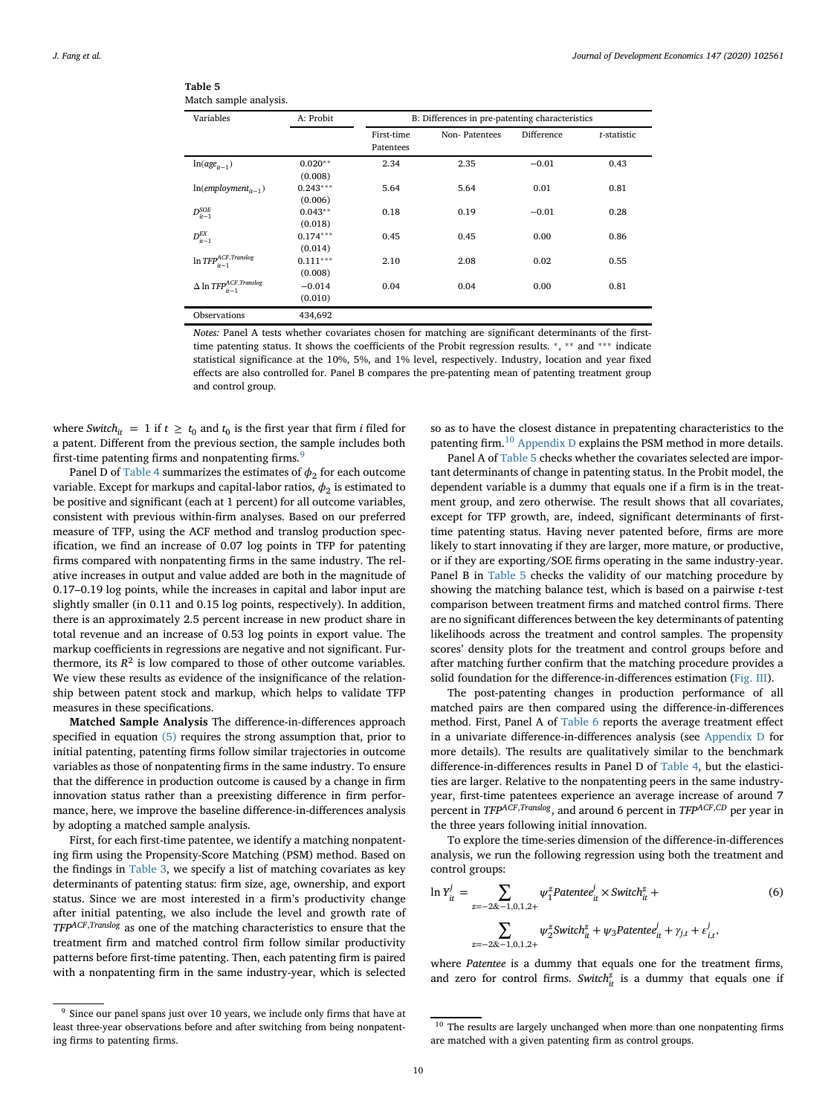| Table 5 |                        |
|---------|------------------------|
|         | Match sample analysis. |

<span id="page-9-2"></span>

| Variables                                                      | A: Probit             |                         | B: Differences in pre-patenting characteristics |            |             |
|----------------------------------------------------------------|-----------------------|-------------------------|-------------------------------------------------|------------|-------------|
|                                                                |                       | First-time<br>Patentees | Non-Patentees                                   | Difference | t-statistic |
| $ln(age_{it-1})$                                               | $0.020**$<br>(0.008)  | 2.34                    | 2.35                                            | $-0.01$    | 0.43        |
| $ln(employment_{it-1})$                                        | $0.243***$<br>(0.006) | 5.64                    | 5.64                                            | 0.01       | 0.81        |
| $D_{it-1}^{SOE}$                                               | $0.043**$<br>(0.018)  | 0.18                    | 0.19                                            | $-0.01$    | 0.28        |
| $D_{it-1}^{EX}$                                                | $0.174***$<br>(0.014) | 0.45                    | 0.45                                            | 0.00       | 0.86        |
| $\ln\mathit{TFP}^\mathit{ACF, Translog}$<br>$it-1$             | $0.111***$<br>(0.008) | 2.10                    | 2.08                                            | 0.02       | 0.55        |
| $\Delta\ln\mathit{TFP}^\mathit{ACF, Translog}_\cdot$<br>$it-1$ | $-0.014$<br>(0.010)   | 0.04                    | 0.04                                            | 0.00       | 0.81        |
| Observations                                                   | 434,692               |                         |                                                 |            |             |

*Notes:* Panel A tests whether covariates chosen for matching are significant determinants of the firsttime patenting status. It shows the coefficients of the Probit regression results. <sup>∗</sup>, ∗∗ and ∗∗∗ indicate statistical significance at the 10%, 5%, and 1% level, respectively. Industry, location and year fixed effects are also controlled for. Panel B compares the pre-patenting mean of patenting treatment group and control group.

where *Switch*<sub>it</sub> = 1 if  $t \geq t_0$  and  $t_0$  is the first year that firm *i* filed for a patent. Different from the previous section, the sample includes both first-time patenting firms and nonpatenting firms.<sup>[9](#page-9-0)</sup>

Panel D of [Table 4](#page-8-0) summarizes the estimates of  $\phi_2$  for each outcome variable. Except for markups and capital-labor ratios,  $\phi_2$  is estimated to be positive and significant (each at 1 percent) for all outcome variables, consistent with previous within-firm analyses. Based on our preferred measure of TFP, using the ACF method and translog production specification, we find an increase of 0.07 log points in TFP for patenting firms compared with nonpatenting firms in the same industry. The relative increases in output and value added are both in the magnitude of 0.17–0.19 log points, while the increases in capital and labor input are slightly smaller (in 0.11 and 0.15 log points, respectively). In addition, there is an approximately 2.5 percent increase in new product share in total revenue and an increase of 0.53 log points in export value. The markup coefficients in regressions are negative and not significant. Furthermore, its  $R^2$  is low compared to those of other outcome variables. We view these results as evidence of the insignificance of the relationship between patent stock and markup, which helps to validate TFP measures in these specifications.

**Matched Sample Analysis** The difference-in-differences approach specified in equation [\(5\)](#page-8-1) requires the strong assumption that, prior to initial patenting, patenting firms follow similar trajectories in outcome variables as those of nonpatenting firms in the same industry. To ensure that the difference in production outcome is caused by a change in firm innovation status rather than a preexisting difference in firm performance, here, we improve the baseline difference-in-differences analysis by adopting a matched sample analysis.

First, for each first-time patentee, we identify a matching nonpatenting firm using the Propensity-Score Matching (PSM) method. Based on the findings in [Table 3,](#page-7-0) we specify a list of matching covariates as key determinants of patenting status: firm size, age, ownership, and export status. Since we are most interested in a firm's productivity change after initial patenting, we also include the level and growth rate of *TFPACF*,*Translog* as one of the matching characteristics to ensure that the treatment firm and matched control firm follow similar productivity patterns before first-time patenting. Then, each patenting firm is paired with a nonpatenting firm in the same industry-year, which is selected

<span id="page-9-0"></span><sup>9</sup> Since our panel spans just over 10 years, we include only firms that have at least three-year observations before and after switching from being nonpatenting firms to patenting firms.

so as to have the closest distance in prepatenting characteristics to the patenting firm.<sup>[10](#page-9-1)</sup> [Appendix D](#page-16-2) explains the PSM method in more details.

Panel A of [Table 5](#page-9-2) checks whether the covariates selected are important determinants of change in patenting status. In the Probit model, the dependent variable is a dummy that equals one if a firm is in the treatment group, and zero otherwise. The result shows that all covariates, except for TFP growth, are, indeed, significant determinants of firsttime patenting status. Having never patented before, firms are more likely to start innovating if they are larger, more mature, or productive, or if they are exporting/SOE firms operating in the same industry-year. Panel B in [Table 5](#page-9-2) checks the validity of our matching procedure by showing the matching balance test, which is based on a pairwise *t*-test comparison between treatment firms and matched control firms. There are no significant differences between the key determinants of patenting likelihoods across the treatment and control samples. The propensity scores' density plots for the treatment and control groups before and after matching further confirm that the matching procedure provides a solid foundation for the difference-in-differences estimation [\(Fig. III\)](#page-10-1).

The post-patenting changes in production performance of all matched pairs are then compared using the difference-in-differences method. First, Panel A of [Table 6](#page-10-2) reports the average treatment effect in a univariate difference-in-differences analysis (see [Appendix D](#page-16-2) for more details). The results are qualitatively similar to the benchmark difference-in-differences results in Panel D of [Table 4,](#page-8-0) but the elasticities are larger. Relative to the nonpatenting peers in the same industryyear, first-time patentees experience an average increase of around 7 percent in *TFPACF*,*Translog* , and around 6 percent in *TFPACF*,*CD* per year in the three years following initial innovation.

To explore the time-series dimension of the difference-in-differences analysis, we run the following regression using both the treatment and control groups:

<span id="page-9-3"></span>
$$
\ln Y_{it}^{j} = \sum_{z=-2k-1,0,1,2+} \psi_{1}^{z} \text{Patternte} e_{it}^{j} \times \text{Switch}_{it}^{z} +
$$
\n
$$
\sum_{z=-2k-1,0,1,2+} \psi_{2}^{z} \text{Switch}_{it}^{z} + \psi_{3} \text{Patternte} e_{it}^{j} + \gamma_{j,t} + \varepsilon_{i,t}^{j},
$$
\n(6)

where *Patentee* is a dummy that equals one for the treatment firms, and zero for control firms. *Switch* $^z$ <sup>*it*</sup> is a dummy that equals one if

<span id="page-9-1"></span> $^{10}$  The results are largely unchanged when more than one nonpatenting firms are matched with a given patenting firm as control groups.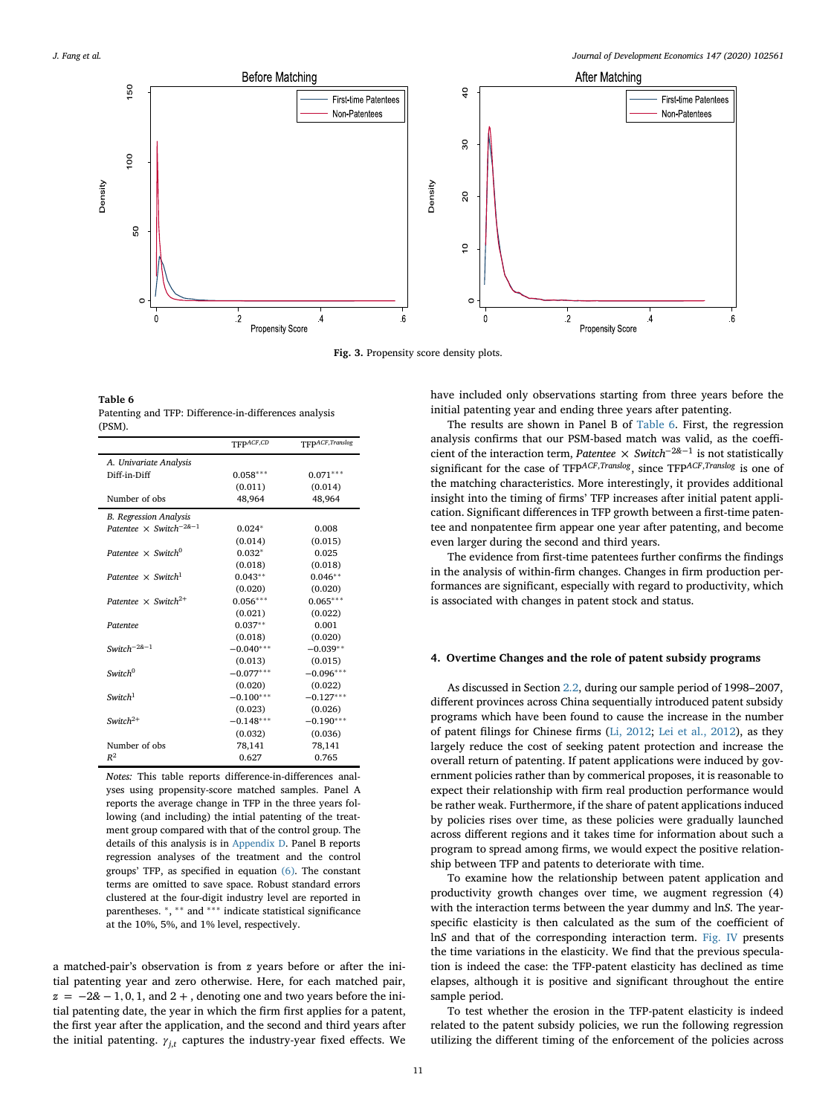

**Fig. 3.** Propensity score density plots.

**Table 6**

<span id="page-10-2"></span>Patenting and TFP: Difference-in-differences analysis (PSM).

|                                               | TFPACF,CD   | TFPACF, Translog |
|-----------------------------------------------|-------------|------------------|
| A. Univariate Analysis                        |             |                  |
| Diff-in-Diff                                  | $0.058***$  | $0.071***$       |
|                                               | (0.011)     | (0.014)          |
| Number of obs                                 | 48,964      | 48,964           |
| <b>B.</b> Regression Analysis                 |             |                  |
| Patentee $\times$ Switch <sup>-2&amp;-1</sup> | $0.024*$    | 0.008            |
|                                               | (0.014)     | (0.015)          |
| Patentee $\times$ Switch <sup>0</sup>         | $0.032*$    | 0.025            |
|                                               | (0.018)     | (0.018)          |
| Patentee $\times$ Switch <sup>1</sup>         | $0.043**$   | $0.046**$        |
|                                               | (0.020)     | (0.020)          |
| Patentee $\times$ Switch <sup>2+</sup>        | $0.056***$  | $0.065***$       |
|                                               | (0.021)     | (0.022)          |
| <b>Patentee</b>                               | $0.037**$   | 0.001            |
|                                               | (0.018)     | (0.020)          |
| Switch <sup><math>-2k-1</math></sup>          | $-0.040***$ | $-0.039**$       |
|                                               | (0.013)     | (0.015)          |
| Switch <sup>0</sup>                           | $-0.077***$ | $-0.096***$      |
|                                               | (0.020)     | (0.022)          |
| Switch <sup>1</sup>                           | $-0.100***$ | $-0.127***$      |
|                                               | (0.023)     | (0.026)          |
| Switch $2+$                                   | $-0.148***$ | $-0.190***$      |
|                                               | (0.032)     | (0.036)          |
| Number of obs                                 | 78,141      | 78,141           |
| $R^2$                                         | 0.627       | 0.765            |

*Notes:* This table reports difference-in-differences analyses using propensity-score matched samples. Panel A reports the average change in TFP in the three years following (and including) the intial patenting of the treatment group compared with that of the control group. The details of this analysis is in [Appendix D.](#page-16-2) Panel B reports regression analyses of the treatment and the control groups' TFP, as specified in equation [\(6\).](#page-9-3) The constant terms are omitted to save space. Robust standard errors clustered at the four-digit industry level are reported in parentheses. <sup>∗</sup>, ∗∗ and ∗∗∗ indicate statistical significance at the 10%, 5%, and 1% level, respectively.

a matched-pair's observation is from *z* years before or after the initial patenting year and zero otherwise. Here, for each matched pair, *z* = −2*&* − 1*,* 0*,* 1*,* and 2 + *,* denoting one and two years before the initial patenting date, the year in which the firm first applies for a patent, the first year after the application, and the second and third years after the initial patenting.  $\gamma_{it}$  captures the industry-year fixed effects. We

<span id="page-10-1"></span>have included only observations starting from three years before the initial patenting year and ending three years after patenting.

The results are shown in Panel B of [Table 6.](#page-10-2) First, the regression analysis confirms that our PSM-based match was valid, as the coefficient of the interaction term, *Patentee* × *Switch*−2*&*−<sup>1</sup> is not statistically significant for the case of TFP*ACF*,*Translog* , since TFP*ACF*,*Translog* is one of the matching characteristics. More interestingly, it provides additional insight into the timing of firms' TFP increases after initial patent application. Significant differences in TFP growth between a first-time patentee and nonpatentee firm appear one year after patenting, and become even larger during the second and third years.

The evidence from first-time patentees further confirms the findings in the analysis of within-firm changes. Changes in firm production performances are significant, especially with regard to productivity, which is associated with changes in patent stock and status.

### <span id="page-10-0"></span>**4. Overtime Changes and the role of patent subsidy programs**

As discussed in Section [2.2,](#page-3-3) during our sample period of 1998–2007, different provinces across China sequentially introduced patent subsidy programs which have been found to cause the increase in the number of patent filings for Chinese firms [\(Li, 2012;](#page-17-1) [Lei et al., 2012\)](#page-17-26), as they largely reduce the cost of seeking patent protection and increase the overall return of patenting. If patent applications were induced by government policies rather than by commerical proposes, it is reasonable to expect their relationship with firm real production performance would be rather weak. Furthermore, if the share of patent applications induced by policies rises over time, as these policies were gradually launched across different regions and it takes time for information about such a program to spread among firms, we would expect the positive relationship between TFP and patents to deteriorate with time.

To examine how the relationship between patent application and productivity growth changes over time, we augment regression (4) with the interaction terms between the year dummy and ln*S*. The yearspecific elasticity is then calculated as the sum of the coefficient of ln*S* and that of the corresponding interaction term. [Fig. IV](#page-11-1) presents the time variations in the elasticity. We find that the previous speculation is indeed the case: the TFP-patent elasticity has declined as time elapses, although it is positive and significant throughout the entire sample period.

To test whether the erosion in the TFP-patent elasticity is indeed related to the patent subsidy policies, we run the following regression utilizing the different timing of the enforcement of the policies across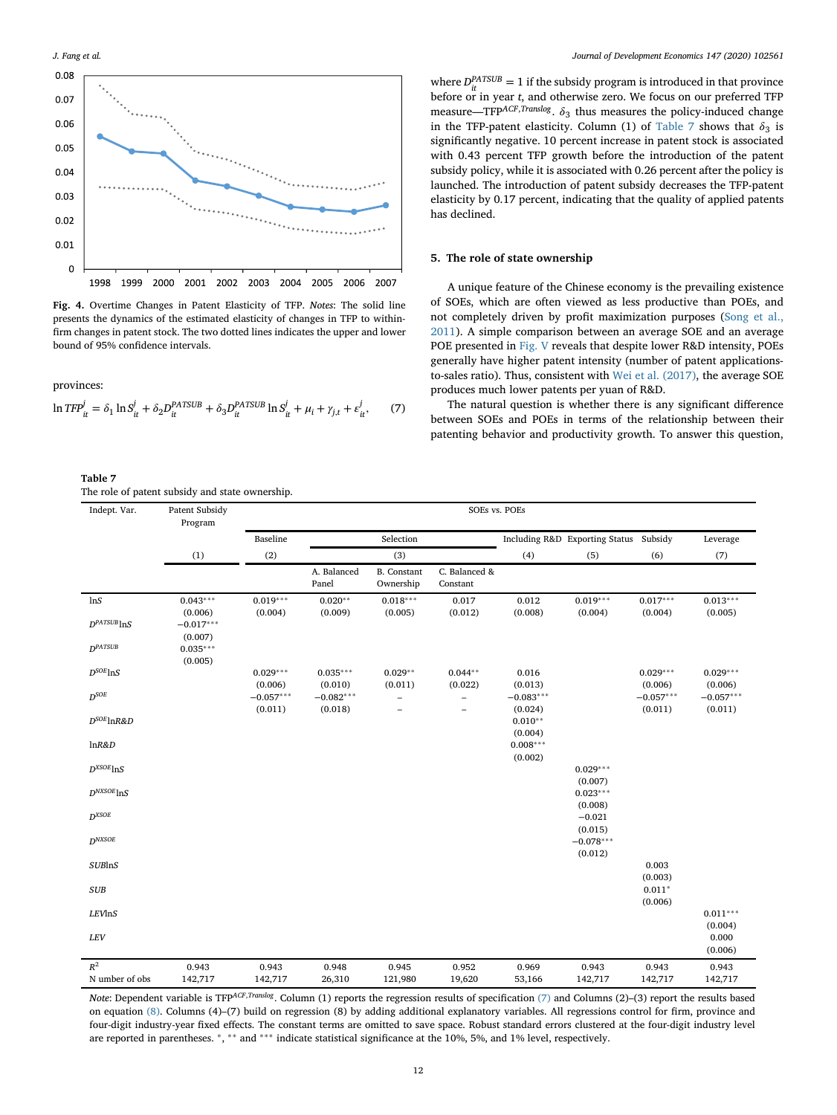

**Fig. 4.** Overtime Changes in Patent Elasticity of TFP. *Notes*: The solid line presents the dynamics of the estimated elasticity of changes in TFP to withinfirm changes in patent stock. The two dotted lines indicates the upper and lower bound of 95% confidence intervals.

provinces:

<span id="page-11-3"></span>
$$
\ln \text{TFP}_{it}^{j} = \delta_1 \ln S_{it}^{j} + \delta_2 D_{it}^{PATSUB} + \delta_3 D_{it}^{PATSUB} \ln S_{it}^{j} + \mu_i + \gamma_{j,t} + \varepsilon_{it}^{j}, \tag{7}
$$

| Table 7                                         |  |  |  |
|-------------------------------------------------|--|--|--|
| The role of patent subsidy and state ownership. |  |  |  |

where  $D_{it}^{PATSUB} = 1$  if the subsidy program is introduced in that province before or in year *t*, and otherwise zero. We focus on our preferred TFP measure—TFP<sup>ACF,Translog</sup>.  $\delta_3$  thus measures the policy-induced change in the TFP-patent elasticity. Column (1) of [Table 7](#page-11-2) shows that  $\delta_3$  is significantly negative. 10 percent increase in patent stock is associated with 0.43 percent TFP growth before the introduction of the patent subsidy policy, while it is associated with 0.26 percent after the policy is launched. The introduction of patent subsidy decreases the TFP-patent elasticity by 0.17 percent, indicating that the quality of applied patents has declined.

# <span id="page-11-0"></span>**5. The role of state ownership**

<span id="page-11-1"></span>A unique feature of the Chinese economy is the prevailing existence of SOEs, which are often viewed as less productive than POEs, and [not completely driven by profit maximization purposes \(Song et al.,](#page-18-3) 2011). A simple comparison between an average SOE and an average POE presented in [Fig. V](#page-12-0) reveals that despite lower R&D intensity, POEs generally have higher patent intensity (number of patent applicationsto-sales ratio). Thus, consistent with [Wei et al. \(2017\),](#page-18-0) the average SOE produces much lower patents per yuan of R&D.

The natural question is whether there is any significant difference between SOEs and POEs in terms of the relationship between their patenting behavior and productivity growth. To answer this question,

<span id="page-11-2"></span>

| Indept. Var.                | Patent Subsidy<br>Program |                        |                        |                                                      | SOEs vs. POEs                                 |                        |                                |                        |                        |
|-----------------------------|---------------------------|------------------------|------------------------|------------------------------------------------------|-----------------------------------------------|------------------------|--------------------------------|------------------------|------------------------|
|                             |                           | Baseline               |                        | Selection                                            |                                               |                        | Including R&D Exporting Status | Subsidy                | Leverage               |
|                             | (1)                       | (2)                    |                        | (3)                                                  |                                               | (4)                    | (5)                            | (6)                    | (7)                    |
|                             |                           |                        | A. Balanced<br>Panel   | <b>B.</b> Constant<br>Ownership                      | C. Balanced &<br>Constant                     |                        |                                |                        |                        |
| $ln S$                      | $0.043***$<br>(0.006)     | $0.019***$<br>(0.004)  | $0.020**$<br>(0.009)   | $0.018***$<br>(0.005)                                | 0.017<br>(0.012)                              | 0.012<br>(0.008)       | $0.019***$<br>(0.004)          | $0.017***$<br>(0.004)  | $0.013***$<br>(0.005)  |
| $D^{PATSUB}$ lnS            | $-0.017***$<br>(0.007)    |                        |                        |                                                      |                                               |                        |                                |                        |                        |
| $D$ <i>PATSUB</i>           | $0.035***$<br>(0.005)     |                        |                        |                                                      |                                               |                        |                                |                        |                        |
| $D^{SOE}$ ln $S$            |                           | $0.029***$<br>(0.006)  | $0.035***$<br>(0.010)  | $0.029**$<br>(0.011)                                 | $0.044**$<br>(0.022)                          | 0.016<br>(0.013)       |                                | $0.029***$<br>(0.006)  | $0.029***$<br>(0.006)  |
| $D$ SOE                     |                           | $-0.057***$<br>(0.011) | $-0.082***$<br>(0.018) | $\overline{\phantom{0}}$<br>$\overline{\phantom{a}}$ | $\overline{\phantom{a}}$<br>$\qquad \qquad -$ | $-0.083***$<br>(0.024) |                                | $-0.057***$<br>(0.011) | $-0.057***$<br>(0.011) |
| $D^{SOE}$ ln $R&D$          |                           |                        |                        |                                                      |                                               | $0.010**$<br>(0.004)   |                                |                        |                        |
| lnR&D                       |                           |                        |                        |                                                      |                                               | $0.008***$<br>(0.002)  |                                |                        |                        |
| $D^{XSOE}$ ln $S$           |                           |                        |                        |                                                      |                                               |                        | $0.029***$<br>(0.007)          |                        |                        |
| $D$ <sup>NXSOE</sup> ln $S$ |                           |                        |                        |                                                      |                                               |                        | $0.023***$<br>(0.008)          |                        |                        |
| $D^{XSOE}$                  |                           |                        |                        |                                                      |                                               |                        | $-0.021$<br>(0.015)            |                        |                        |
| <b>DNXSOE</b>               |                           |                        |                        |                                                      |                                               |                        | $-0.078***$<br>(0.012)         |                        |                        |
| <b>SUBlnS</b>               |                           |                        |                        |                                                      |                                               |                        |                                | 0.003<br>(0.003)       |                        |
| SUB                         |                           |                        |                        |                                                      |                                               |                        |                                | $0.011*$<br>(0.006)    |                        |
| LEVInS                      |                           |                        |                        |                                                      |                                               |                        |                                |                        | $0.011***$<br>(0.004)  |
| LEV                         |                           |                        |                        |                                                      |                                               |                        |                                |                        | 0.000<br>(0.006)       |
| $R^2$<br>N umber of obs     | 0.943<br>142,717          | 0.943<br>142,717       | 0.948<br>26,310        | 0.945<br>121,980                                     | 0.952<br>19,620                               | 0.969<br>53,166        | 0.943<br>142,717               | 0.943<br>142,717       | 0.943<br>142,717       |

*Note*: Dependent variable is TFP*ACF*,*Translog* . Column (1) reports the regression results of specification [\(7\)](#page-11-3) and Columns (2)–(3) report the results based on equation [\(8\).](#page-12-1) Columns (4)–(7) build on regression (8) by adding additional explanatory variables. All regressions control for firm, province and four-digit industry-year fixed effects. The constant terms are omitted to save space. Robust standard errors clustered at the four-digit industry level are reported in parentheses. \*, \*\* and \*\*\* indicate statistical significance at the 10%, 5%, and 1% level, respectively.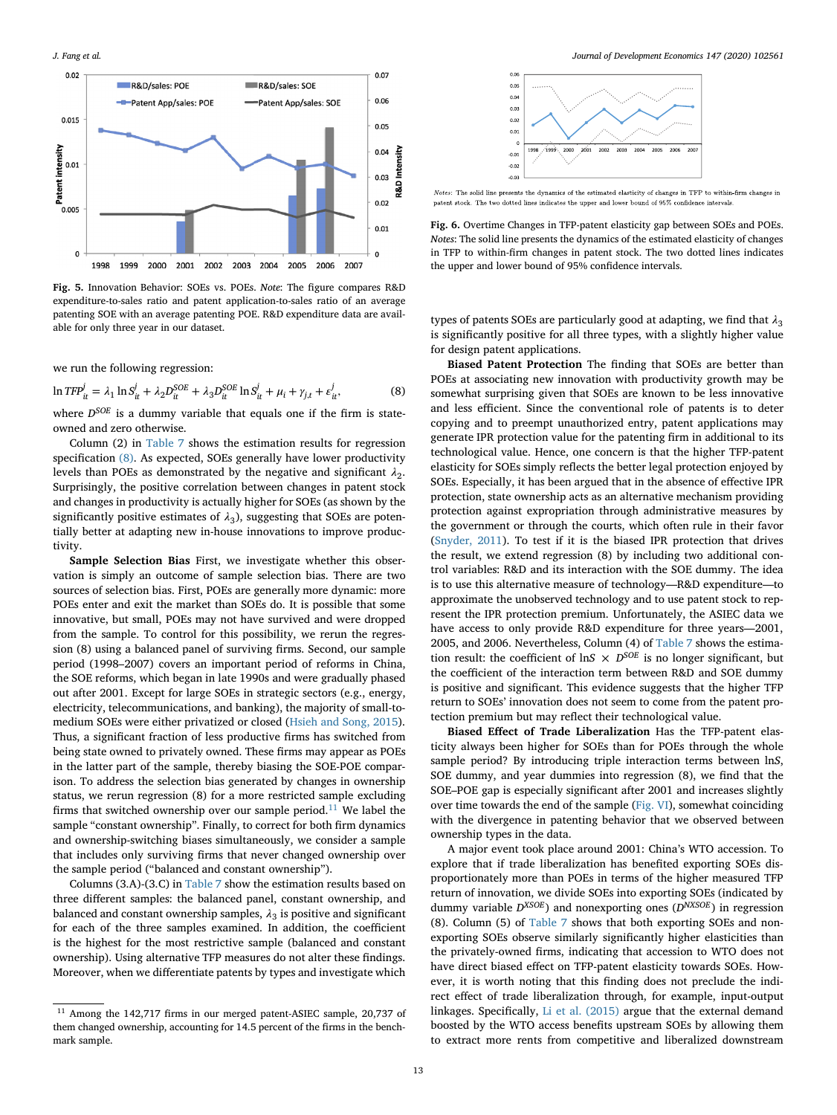

**Fig. 5.** Innovation Behavior: SOEs vs. POEs. *Note*: The figure compares R&D expenditure-to-sales ratio and patent application-to-sales ratio of an average patenting SOE with an average patenting POE. R&D expenditure data are available for only three year in our dataset.

we run the following regression:

<span id="page-12-1"></span> $\ln TFP^j_{it} = \lambda_1 \ln S^j_{it} + \lambda_2 D^{SOE}_{it} + \lambda_3 D^{SOE}_{it} \ln S^j_{it} + \mu_i + \gamma_{j,t} + \epsilon^j_i$ *it,* (8)

where  $D^{SOE}$  is a dummy variable that equals one if the firm is stateowned and zero otherwise.

Column (2) in [Table 7](#page-11-2) shows the estimation results for regression specification [\(8\).](#page-12-1) As expected, SOEs generally have lower productivity levels than POEs as demonstrated by the negative and significant  $\lambda_2$ . Surprisingly, the positive correlation between changes in patent stock and changes in productivity is actually higher for SOEs (as shown by the significantly positive estimates of  $\lambda_3$ ), suggesting that SOEs are potentially better at adapting new in-house innovations to improve productivity.

**Sample Selection Bias** First, we investigate whether this observation is simply an outcome of sample selection bias. There are two sources of selection bias. First, POEs are generally more dynamic: more POEs enter and exit the market than SOEs do. It is possible that some innovative, but small, POEs may not have survived and were dropped from the sample. To control for this possibility, we rerun the regression (8) using a balanced panel of surviving firms. Second, our sample period (1998–2007) covers an important period of reforms in China, the SOE reforms, which began in late 1990s and were gradually phased out after 2001. Except for large SOEs in strategic sectors (e.g., energy, electricity, telecommunications, and banking), the majority of small-tomedium SOEs were either privatized or closed [\(Hsieh and Song, 2015\)](#page-17-14). Thus, a significant fraction of less productive firms has switched from being state owned to privately owned. These firms may appear as POEs in the latter part of the sample, thereby biasing the SOE-POE comparison. To address the selection bias generated by changes in ownership status, we rerun regression (8) for a more restricted sample excluding firms that switched ownership over our sample period.<sup>[11](#page-12-2)</sup> We label the sample "constant ownership". Finally, to correct for both firm dynamics and ownership-switching biases simultaneously, we consider a sample that includes only surviving firms that never changed ownership over the sample period ("balanced and constant ownership").

Columns (3.A)-(3.C) in [Table 7](#page-11-2) show the estimation results based on three different samples: the balanced panel, constant ownership, and balanced and constant ownership samples,  $\lambda_3$  is positive and significant for each of the three samples examined. In addition, the coefficient is the highest for the most restrictive sample (balanced and constant ownership). Using alternative TFP measures do not alter these findings. Moreover, when we differentiate patents by types and investigate which

<span id="page-12-3"></span>

Notes: The solid line presents the dynamics of the estimated elasticity of changes in TFP to within-firm changes in patent stock. The two dotted lines indicates the upper and lower bound of 95% confidence intervals

**Fig. 6.** Overtime Changes in TFP-patent elasticity gap between SOEs and POEs. *Notes*: The solid line presents the dynamics of the estimated elasticity of changes in TFP to within-firm changes in patent stock. The two dotted lines indicates the upper and lower bound of 95% confidence intervals.

<span id="page-12-0"></span>types of patents SOEs are particularly good at adapting, we find that  $\lambda_3$ is significantly positive for all three types, with a slightly higher value for design patent applications.

**Biased Patent Protection** The finding that SOEs are better than POEs at associating new innovation with productivity growth may be somewhat surprising given that SOEs are known to be less innovative and less efficient. Since the conventional role of patents is to deter copying and to preempt unauthorized entry, patent applications may generate IPR protection value for the patenting firm in additional to its technological value. Hence, one concern is that the higher TFP-patent elasticity for SOEs simply reflects the better legal protection enjoyed by SOEs. Especially, it has been argued that in the absence of effective IPR protection, state ownership acts as an alternative mechanism providing protection against expropriation through administrative measures by the government or through the courts, which often rule in their favor [\(Snyder, 2011\)](#page-18-8). To test if it is the biased IPR protection that drives the result, we extend regression (8) by including two additional control variables: R&D and its interaction with the SOE dummy. The idea is to use this alternative measure of technology—R&D expenditure—to approximate the unobserved technology and to use patent stock to represent the IPR protection premium. Unfortunately, the ASIEC data we have access to only provide R&D expenditure for three years—2001, 2005, and 2006. Nevertheless, Column (4) of [Table 7](#page-11-2) shows the estimation result: the coefficient of  $\ln S \times D^{SOE}$  is no longer significant, but the coefficient of the interaction term between R&D and SOE dummy is positive and significant. This evidence suggests that the higher TFP return to SOEs' innovation does not seem to come from the patent protection premium but may reflect their technological value.

**Biased Effect of Trade Liberalization** Has the TFP-patent elasticity always been higher for SOEs than for POEs through the whole sample period? By introducing triple interaction terms between ln*S*, SOE dummy, and year dummies into regression (8), we find that the SOE–POE gap is especially significant after 2001 and increases slightly over time towards the end of the sample [\(Fig. VI\)](#page-12-3), somewhat coinciding with the divergence in patenting behavior that we observed between ownership types in the data.

A major event took place around 2001: China's WTO accession. To explore that if trade liberalization has benefited exporting SOEs disproportionately more than POEs in terms of the higher measured TFP return of innovation, we divide SOEs into exporting SOEs (indicated by dummy variable *DXSOE*) and nonexporting ones (*DNXSOE*) in regression (8). Column (5) of [Table 7](#page-11-2) shows that both exporting SOEs and nonexporting SOEs observe similarly significantly higher elasticities than the privately-owned firms, indicating that accession to WTO does not have direct biased effect on TFP-patent elasticity towards SOEs. However, it is worth noting that this finding does not preclude the indirect effect of trade liberalization through, for example, input-output linkages. Specifically, [Li et al. \(2015\)](#page-17-41) argue that the external demand boosted by the WTO access benefits upstream SOEs by allowing them to extract more rents from competitive and liberalized downstream

<span id="page-12-2"></span><sup>11</sup> Among the 142,717 firms in our merged patent-ASIEC sample, 20,737 of them changed ownership, accounting for 14.5 percent of the firms in the benchmark sample.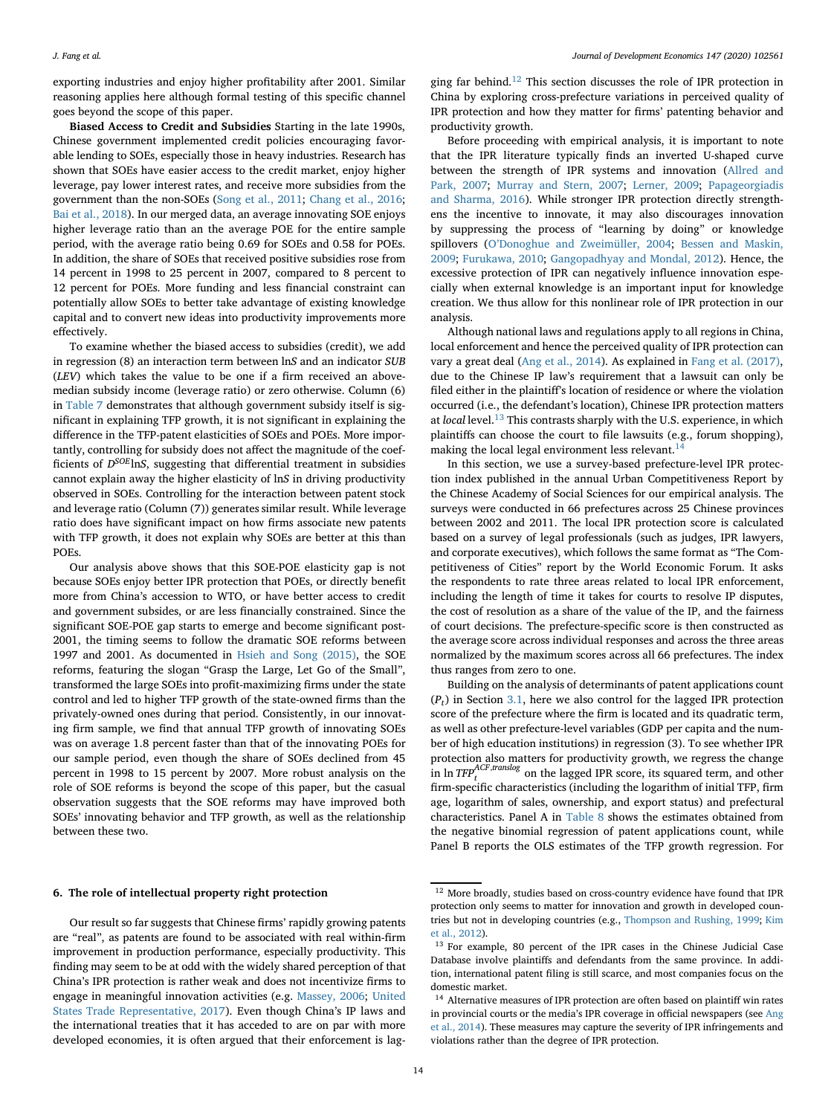exporting industries and enjoy higher profitability after 2001. Similar reasoning applies here although formal testing of this specific channel goes beyond the scope of this paper.

**Biased Access to Credit and Subsidies** Starting in the late 1990s, Chinese government implemented credit policies encouraging favorable lending to SOEs, especially those in heavy industries. Research has shown that SOEs have easier access to the credit market, enjoy higher leverage, pay lower interest rates, and receive more subsidies from the government than the non-SOEs [\(Song et al., 2011;](#page-18-3) [Chang et al., 2016;](#page-17-13) [Bai et al., 2018\)](#page-17-42). In our merged data, an average innovating SOE enjoys higher leverage ratio than an the average POE for the entire sample period, with the average ratio being 0.69 for SOEs and 0.58 for POEs. In addition, the share of SOEs that received positive subsidies rose from 14 percent in 1998 to 25 percent in 2007, compared to 8 percent to 12 percent for POEs. More funding and less financial constraint can potentially allow SOEs to better take advantage of existing knowledge capital and to convert new ideas into productivity improvements more effectively.

To examine whether the biased access to subsidies (credit), we add in regression (8) an interaction term between ln*S* and an indicator *SUB* (*LEV*) which takes the value to be one if a firm received an abovemedian subsidy income (leverage ratio) or zero otherwise. Column (6) in [Table 7](#page-11-2) demonstrates that although government subsidy itself is significant in explaining TFP growth, it is not significant in explaining the difference in the TFP-patent elasticities of SOEs and POEs. More importantly, controlling for subsidy does not affect the magnitude of the coefficients of *DSOE*ln*S*, suggesting that differential treatment in subsidies cannot explain away the higher elasticity of ln*S* in driving productivity observed in SOEs. Controlling for the interaction between patent stock and leverage ratio (Column (7)) generates similar result. While leverage ratio does have significant impact on how firms associate new patents with TFP growth, it does not explain why SOEs are better at this than **POEs** 

Our analysis above shows that this SOE-POE elasticity gap is not because SOEs enjoy better IPR protection that POEs, or directly benefit more from China's accession to WTO, or have better access to credit and government subsides, or are less financially constrained. Since the significant SOE-POE gap starts to emerge and become significant post-2001, the timing seems to follow the dramatic SOE reforms between 1997 and 2001. As documented in [Hsieh and Song \(2015\),](#page-17-14) the SOE reforms, featuring the slogan "Grasp the Large, Let Go of the Small", transformed the large SOEs into profit-maximizing firms under the state control and led to higher TFP growth of the state-owned firms than the privately-owned ones during that period. Consistently, in our innovating firm sample, we find that annual TFP growth of innovating SOEs was on average 1.8 percent faster than that of the innovating POEs for our sample period, even though the share of SOEs declined from 45 percent in 1998 to 15 percent by 2007. More robust analysis on the role of SOE reforms is beyond the scope of this paper, but the casual observation suggests that the SOE reforms may have improved both SOEs' innovating behavior and TFP growth, as well as the relationship between these two.

# <span id="page-13-0"></span>**6. The role of intellectual property right protection**

Our result so far suggests that Chinese firms' rapidly growing patents are "real", as patents are found to be associated with real within-firm improvement in production performance, especially productivity. This finding may seem to be at odd with the widely shared perception of that China's IPR protection is rather weak and does not incentivize firms to engage in meaningful innovation activities (e.g. [Massey, 2006;](#page-17-43) United [States Trade Representative, 2017\). Even though China's IP laws and](#page-18-9) the international treaties that it has acceded to are on par with more developed economies, it is often argued that their enforcement is lagging far behind.[12](#page-13-1) This section discusses the role of IPR protection in China by exploring cross-prefecture variations in perceived quality of IPR protection and how they matter for firms' patenting behavior and productivity growth.

Before proceeding with empirical analysis, it is important to note that the IPR literature typically finds an inverted U-shaped curve [between the strength of IPR systems and innovation \(Allred and](#page-17-44) Park, 2007; [Murray and Stern, 2007;](#page-17-45) [Lerner, 2009;](#page-17-17) Papageorgiadis [and Sharma, 2016\). While stronger IPR protection directly strength](#page-17-46)ens the incentive to innovate, it may also discourages innovation by suppressing the process of "learning by doing" or knowledge [spillovers \(](#page-17-16)[O'Donoghue and Zweimüller, 2004](#page-17-15)[;](#page-17-16) Bessen and Maskin, 2009; [Furukawa, 2010;](#page-17-18) [Gangopadhyay and Mondal, 2012\)](#page-17-19). Hence, the excessive protection of IPR can negatively influence innovation especially when external knowledge is an important input for knowledge creation. We thus allow for this nonlinear role of IPR protection in our analysis.

Although national laws and regulations apply to all regions in China, local enforcement and hence the perceived quality of IPR protection can vary a great deal [\(Ang et al., 2014\)](#page-17-47). As explained in [Fang et al. \(2017\),](#page-17-27) due to the Chinese IP law's requirement that a lawsuit can only be filed either in the plaintiff's location of residence or where the violation occurred (i.e., the defendant's location), Chinese IPR protection matters at *local* level.[13](#page-13-2) This contrasts sharply with the U.S. experience, in which plaintiffs can choose the court to file lawsuits (e.g., forum shopping), making the local legal environment less relevant. $^{14}$  $^{14}$  $^{14}$ 

In this section, we use a survey-based prefecture-level IPR protection index published in the annual Urban Competitiveness Report by the Chinese Academy of Social Sciences for our empirical analysis. The surveys were conducted in 66 prefectures across 25 Chinese provinces between 2002 and 2011. The local IPR protection score is calculated based on a survey of legal professionals (such as judges, IPR lawyers, and corporate executives), which follows the same format as "The Competitiveness of Cities" report by the World Economic Forum. It asks the respondents to rate three areas related to local IPR enforcement, including the length of time it takes for courts to resolve IP disputes, the cost of resolution as a share of the value of the IP, and the fairness of court decisions. The prefecture-specific score is then constructed as the average score across individual responses and across the three areas normalized by the maximum scores across all 66 prefectures. The index thus ranges from zero to one.

Building on the analysis of determinants of patent applications count  $(P_t)$  in Section [3.1,](#page-6-4) here we also control for the lagged IPR protection score of the prefecture where the firm is located and its quadratic term, as well as other prefecture-level variables (GDP per capita and the number of high education institutions) in regression (3). To see whether IPR protection also matters for productivity growth, we regress the change in  $In TFP<sub>t</sub><sup>ACF, translog</sup>$  on the lagged IPR score, its squared term, and other firm-specific characteristics (including the logarithm of initial TFP, firm age, logarithm of sales, ownership, and export status) and prefectural characteristics. Panel A in [Table 8](#page-14-1) shows the estimates obtained from the negative binomial regression of patent applications count, while Panel B reports the OLS estimates of the TFP growth regression. For

<span id="page-13-1"></span><sup>&</sup>lt;sup>12</sup> More broadly, studies based on cross-country evidence have found that IPR protection only seems to matter for innovation and growth in developed coun[tries but not in developing countries \(e.g.,](#page-17-48) [Thompson and Rushing, 1999;](#page-18-10) Kim et al., 2012).

<span id="page-13-2"></span><sup>13</sup> For example, 80 percent of the IPR cases in the Chinese Judicial Case Database involve plaintiffs and defendants from the same province. In addition, international patent filing is still scarce, and most companies focus on the domestic market.

<span id="page-13-3"></span><sup>&</sup>lt;sup>14</sup> Alternative measures of IPR protection are often based on plaintiff win rates in provincial courts or the media's IPR coverage in official newspapers (see Ang [et al., 2014\). These measures may capture the severity of IPR infringements and](#page-17-47) violations rather than the degree of IPR protection.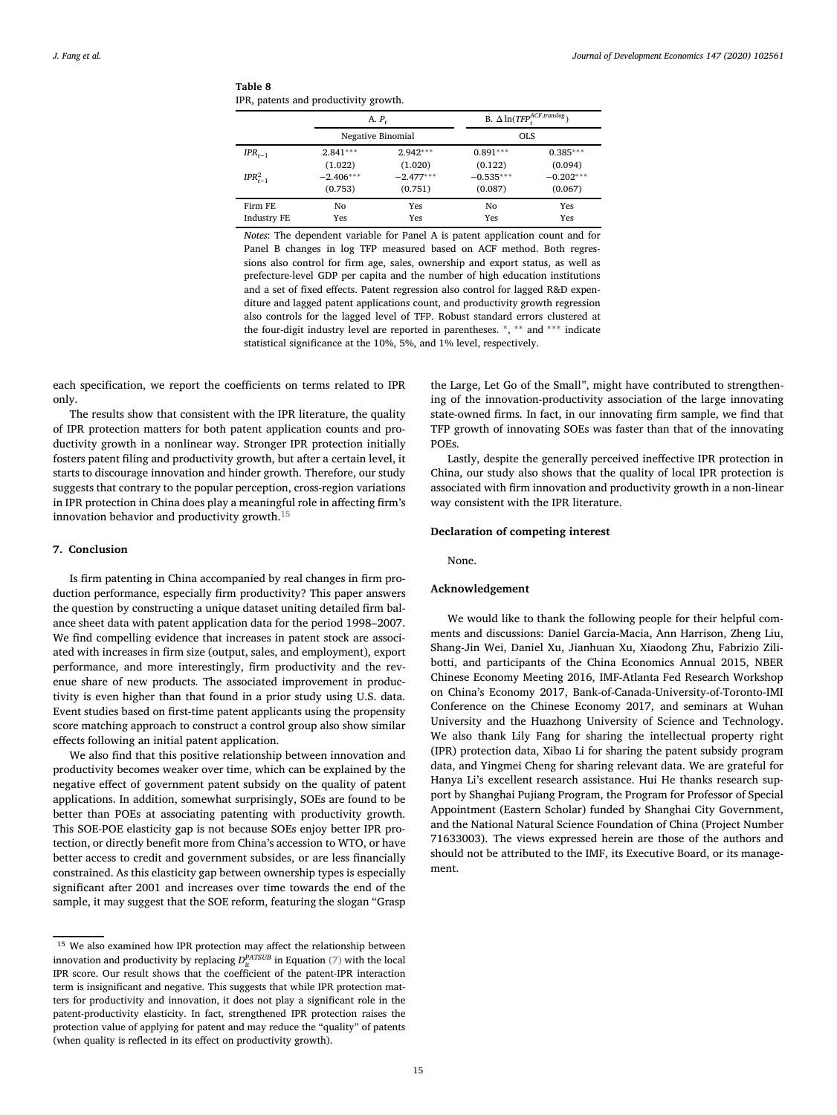**Table 8** IPR, patents and productivity growth.

<span id="page-14-1"></span>

|                    |             | $A. P_t$          | B. $\Delta\ln(TFP_{r}^{ACF,translog})$ |             |
|--------------------|-------------|-------------------|----------------------------------------|-------------|
|                    |             | Negative Binomial | <b>OLS</b>                             |             |
| $IPR_{t-1}$        | $2.841***$  | $2.942***$        | $0.891***$                             | $0.385***$  |
|                    | (1.022)     | (1.020)           | (0.122)                                | (0.094)     |
| $IPR_{t-1}^2$      | $-2.406***$ | $-2.477***$       | $-0.535***$                            | $-0.202***$ |
|                    | (0.753)     | (0.751)           | (0.087)                                | (0.067)     |
| Firm FE            | No          | Yes               | No                                     | Yes         |
| <b>Industry FE</b> | Yes         | Yes               | Yes                                    | Yes         |

*Notes*: The dependent variable for Panel A is patent application count and for Panel B changes in log TFP measured based on ACF method. Both regressions also control for firm age, sales, ownership and export status, as well as prefecture-level GDP per capita and the number of high education institutions and a set of fixed effects. Patent regression also control for lagged R&D expenditure and lagged patent applications count, and productivity growth regression also controls for the lagged level of TFP. Robust standard errors clustered at the four-digit industry level are reported in parentheses. <sup>∗</sup>, ∗∗ and ∗∗∗ indicate statistical significance at the 10%, 5%, and 1% level, respectively.

each specification, we report the coefficients on terms related to IPR only.

The results show that consistent with the IPR literature, the quality of IPR protection matters for both patent application counts and productivity growth in a nonlinear way. Stronger IPR protection initially fosters patent filing and productivity growth, but after a certain level, it starts to discourage innovation and hinder growth. Therefore, our study suggests that contrary to the popular perception, cross-region variations in IPR protection in China does play a meaningful role in affecting firm's innovation behavior and productivity growth. $15$ 

# <span id="page-14-0"></span>**7. Conclusion**

Is firm patenting in China accompanied by real changes in firm production performance, especially firm productivity? This paper answers the question by constructing a unique dataset uniting detailed firm balance sheet data with patent application data for the period 1998–2007. We find compelling evidence that increases in patent stock are associated with increases in firm size (output, sales, and employment), export performance, and more interestingly, firm productivity and the revenue share of new products. The associated improvement in productivity is even higher than that found in a prior study using U.S. data. Event studies based on first-time patent applicants using the propensity score matching approach to construct a control group also show similar effects following an initial patent application.

We also find that this positive relationship between innovation and productivity becomes weaker over time, which can be explained by the negative effect of government patent subsidy on the quality of patent applications. In addition, somewhat surprisingly, SOEs are found to be better than POEs at associating patenting with productivity growth. This SOE-POE elasticity gap is not because SOEs enjoy better IPR protection, or directly benefit more from China's accession to WTO, or have better access to credit and government subsides, or are less financially constrained. As this elasticity gap between ownership types is especially significant after 2001 and increases over time towards the end of the sample, it may suggest that the SOE reform, featuring the slogan "Grasp

the Large, Let Go of the Small", might have contributed to strengthening of the innovation-productivity association of the large innovating state-owned firms. In fact, in our innovating firm sample, we find that TFP growth of innovating SOEs was faster than that of the innovating **POEs** 

Lastly, despite the generally perceived ineffective IPR protection in China, our study also shows that the quality of local IPR protection is associated with firm innovation and productivity growth in a non-linear way consistent with the IPR literature.

#### **Declaration of competing interest**

None.

#### **Acknowledgement**

We would like to thank the following people for their helpful comments and discussions: Daniel Garcia-Macia, Ann Harrison, Zheng Liu, Shang-Jin Wei, Daniel Xu, Jianhuan Xu, Xiaodong Zhu, Fabrizio Zilibotti, and participants of the China Economics Annual 2015, NBER Chinese Economy Meeting 2016, IMF-Atlanta Fed Research Workshop on China's Economy 2017, Bank-of-Canada-University-of-Toronto-IMI Conference on the Chinese Economy 2017, and seminars at Wuhan University and the Huazhong University of Science and Technology. We also thank Lily Fang for sharing the intellectual property right (IPR) protection data, Xibao Li for sharing the patent subsidy program data, and Yingmei Cheng for sharing relevant data. We are grateful for Hanya Li's excellent research assistance. Hui He thanks research support by Shanghai Pujiang Program, the Program for Professor of Special Appointment (Eastern Scholar) funded by Shanghai City Government, and the National Natural Science Foundation of China (Project Number 71633003). The views expressed herein are those of the authors and should not be attributed to the IMF, its Executive Board, or its management.

<span id="page-14-2"></span><sup>&</sup>lt;sup>15</sup> We also examined how IPR protection may affect the relationship between innovation and productivity by replacing  $D_{it}^{PATSUB}$  in Equation [\(7\)](#page-11-3) with the local IPR score. Our result shows that the coefficient of the patent-IPR interaction term is insignificant and negative. This suggests that while IPR protection matters for productivity and innovation, it does not play a significant role in the patent-productivity elasticity. In fact, strengthened IPR protection raises the protection value of applying for patent and may reduce the "quality" of patents (when quality is reflected in its effect on productivity growth).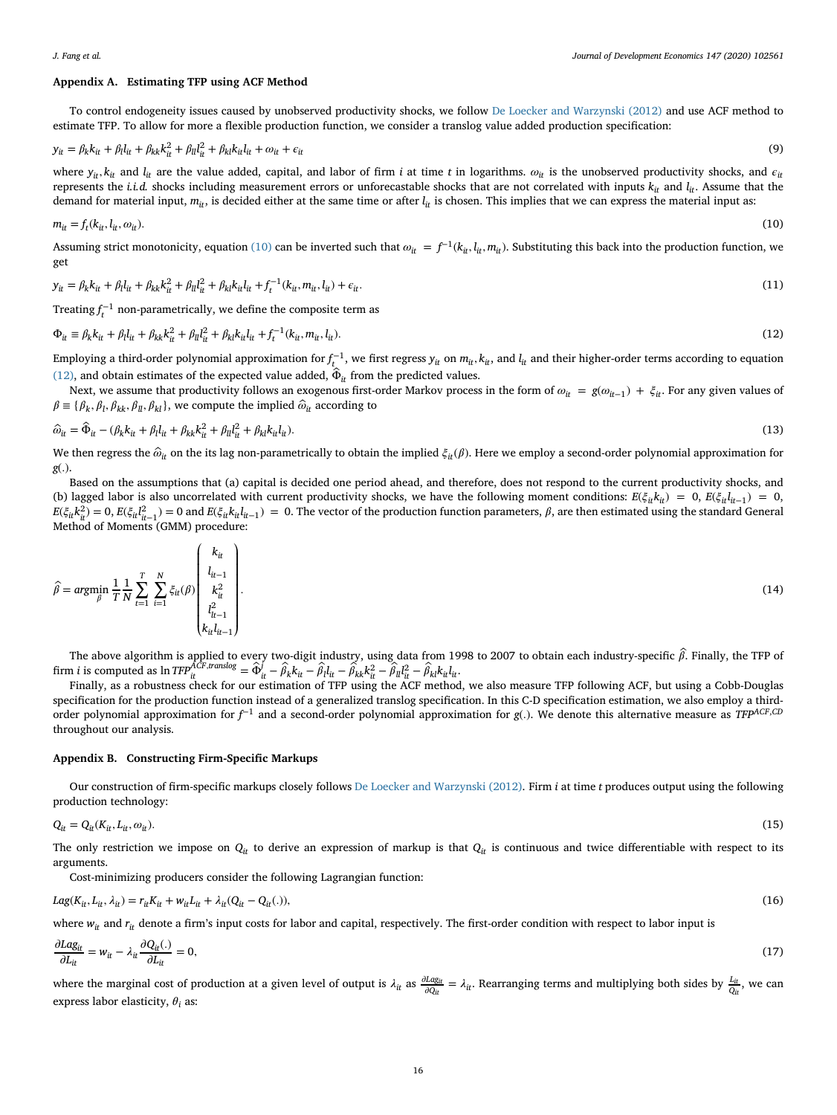# <span id="page-15-0"></span>**Appendix A. Estimating TFP using ACF Method**

To control endogeneity issues caused by unobserved productivity shocks, we follow [De Loecker and Warzynski \(2012\)](#page-17-37) and use ACF method to estimate TFP. To allow for more a flexible production function, we consider a translog value added production specification:

$$
y_{it} = \beta_k k_{it} + \beta_l l_{it} + \beta_{kk} k_{it}^2 + \beta_{ll} l_{it}^2 + \beta_{kl} k_{it} l_{it} + \omega_{it} + \epsilon_{it}
$$
\n
$$
\tag{9}
$$

where  $y_{it}$ ,  $k_{it}$  and  $l_{it}$  are the value added, capital, and labor of firm *i* at time *t* in logarithms.  $\omega_{it}$  is the unobserved productivity shocks, and  $\epsilon_{it}$ represents the *i.i.d.* shocks including measurement errors or unforecastable shocks that are not correlated with inputs  $k_{it}$  and  $l_{it}$ . Assume that the demand for material input,  $m_{ii}$ , is decided either at the same time or after  $l_{ii}$  is chosen. This implies that we can express the material input as:

$$
m_{it} = f_t(k_{it}, l_{it}, \omega_{it}). \tag{10}
$$

<span id="page-15-2"></span>

Assuming strict monotonicity, equation [\(10\)](#page-15-2) can be inverted such that  $\omega_{it} = f^{-1}(k_{it}, l_{it}, m_{it})$ . Substituting this back into the production function, we get

$$
y_{it} = \beta_k k_{it} + \beta_l l_{it} + \beta_{kk} k_{it}^2 + \beta_{ll} l_{it}^2 + \beta_{kl} k_{it} l_{it} + f_t^{-1}(k_{it}, m_{it}, l_{it}) + \epsilon_{it}.
$$
\n(11)

Treating *f*−<sup>1</sup> *<sup>t</sup>* non-parametrically, we define the composite term as

<span id="page-15-3"></span>
$$
\Phi_{it} \equiv \beta_k k_{it} + \beta_l l_{it} + \beta_{kk} k_{it}^2 + \beta_{ll} l_{it}^2 + \beta_{kl} k_{it} l_{it} + f_t^{-1}(k_{it}, m_{it}, l_{it}).
$$
\n(12)

Employing a third-order polynomial approximation for  $f_{t}^{-1}$ , we first regress  $y_{it}$  on  $m_{it}, k_{it}$ , and  $l_{it}$  and their higher-order terms according to equation [\(12\),](#page-15-3) and obtain estimates of the expected value added,  $\hat{\Phi}_{it}$  from the predicted values.

Next, we assume that productivity follows an exogenous first-order Markov process in the form of  $\omega_{it} = g(\omega_{it-1}) + \xi_{it}$ . For any given values of  $\beta \equiv {\beta_k, \beta_l, \beta_{kk}, \beta_{ll}, \beta_{kl}}$ , we compute the implied  $\hat{\omega}_{it}$  according to

$$
\hat{\omega}_{it} = \hat{\Phi}_{it} - (\beta_k k_{it} + \beta_l l_{it} + \beta_{kk} k_{it}^2 + \beta_{ll} l_{it}^2 + \beta_{kl} k_{it} l_{it}).
$$
\n(13)

We then regress the  $\hat{\omega}_{it}$  on the its lag non-parametrically to obtain the implied  $\xi_{it}(\beta)$ . Here we employ a second-order polynomial approximation for *g*(*.*).

Based on the assumptions that (a) capital is decided one period ahead, and therefore, does not respond to the current productivity shocks, and (b) lagged labor is also uncorrelated with current productivity shocks, we have the following moment conditions:  $E(\xi_{ik}k_{it}) = 0, E(\xi_{it}l_{it-1}) = 0$  $E(\xi_{it} k_{it}^2) = 0, E(\xi_{it} l_{it-1}^2) = 0$  and  $E(\xi_{it} k_{it} l_{it-1}) = 0$ . The vector of the production function parameters,  $\beta$ , are then estimated using the standard General Method of Moments (GMM) procedure:

$$
\hat{\beta} = \arg\min_{\beta} \frac{1}{T} \frac{1}{N} \sum_{t=1}^{T} \sum_{i=1}^{N} \xi_{it}(\beta) \begin{pmatrix} k_{it} \\ l_{it-1} \\ k_{it}^2 \\ l_{it-1}^2 \\ k_{it} l_{it-1} \end{pmatrix} .
$$
\n(14)

The above algorithm is applied to every two-digit industry, using data from 1998 to 2007 to obtain each industry-specific  $\hat{\beta}$ . Finally, the TFP of firm *i* is computed as  $\ln \text{TPP}_{it}^{\text{ACF}, \text{translog}} = \hat{\Phi}_{it}^f - \hat{\beta}_k k_{it} - \hat{\beta}_l l_{it} - \hat{\beta}_{kk}^{\dagger} k_{it}^2 - \hat{\beta}_{ll} l_{it}^2 - \hat{\beta}_{kl} k_{il} l_{it}.$ 

Finally, as a robustness check for our estimation of TFP using the ACF method, we also measure TFP following ACF, but using a Cobb-Douglas specification for the production function instead of a generalized translog specification. In this C-D specification estimation, we also employ a thirdorder polynomial approximation for *f* <sup>−</sup><sup>1</sup> and a second-order polynomial approximation for *g*(*.*). We denote this alternative measure as *TFPACF*,*CD* throughout our analysis.

# <span id="page-15-1"></span>**Appendix B. Constructing Firm-Specific Markups**

Our construction of firm-specific markups closely follows [De Loecker and Warzynski \(2012\).](#page-17-37) Firm *i* at time *t* produces output using the following production technology:

$$
Q_{it} = Q_{it}(K_{it}, L_{it}, \omega_{it}).
$$
\n<sup>(15)</sup>

The only restriction we impose on  $Q_{it}$  to derive an expression of markup is that  $Q_{it}$  is continuous and twice differentiable with respect to its arguments.

Cost-minimizing producers consider the following Lagrangian function:

$$
Lag(K_{it}, L_{it}, \lambda_{it}) = r_{it}K_{it} + w_{it}L_{it} + \lambda_{it}(Q_{it} - Q_{it}(.)),
$$
\n(16)

where  $w_{it}$  and  $r_{it}$  denote a firm's input costs for labor and capital, respectively. The first-order condition with respect to labor input is

$$
\frac{\partial L \alpha g_{it}}{\partial L_{it}} = w_{it} - \lambda_{it} \frac{\partial Q_{it}(.)}{\partial L_{it}} = 0,
$$
\n(17)

<span id="page-15-4"></span>where the marginal cost of production at a given level of output is  $\lambda_{it}$  as  $\frac{\partial Lag_{it}}{\partial Q_{it}} = \lambda_{it}$ . Rearranging terms and multiplying both sides by  $\frac{L_{it}}{Q_{it}}$ , we can express labor elasticity,  $\theta_i$  as: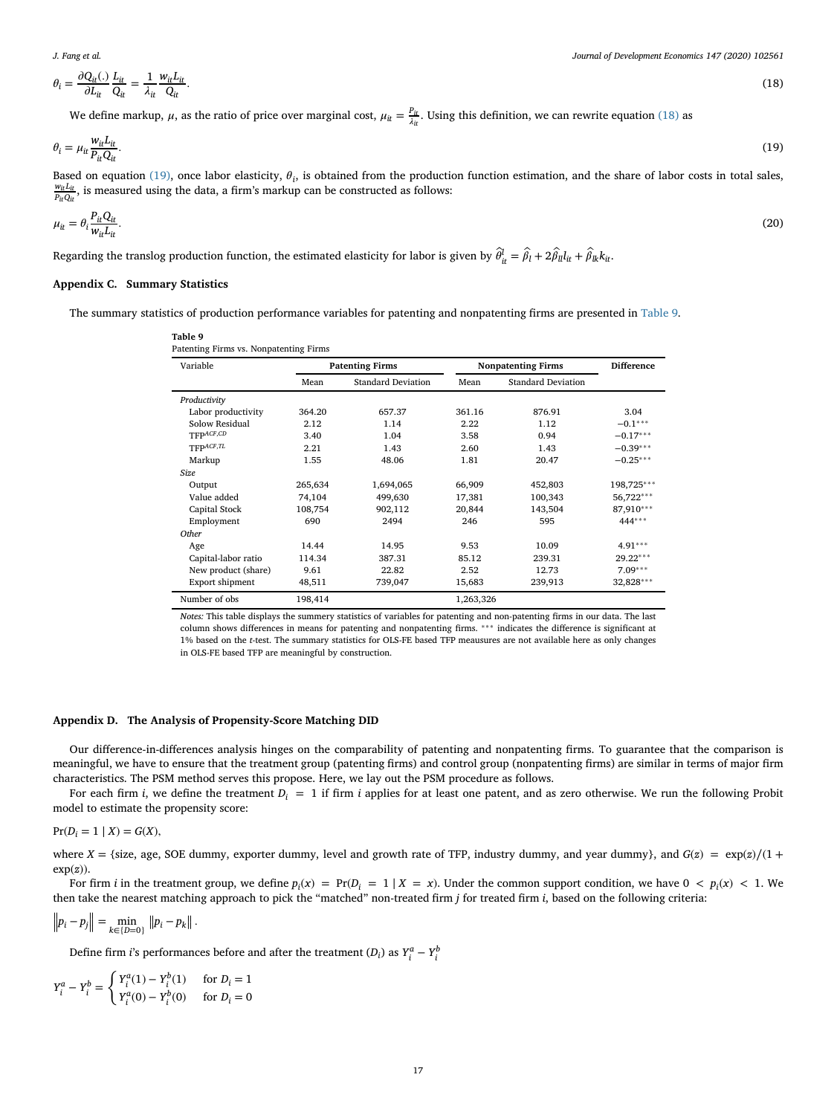$$
\theta_i = \frac{\partial Q_{it}(.)}{\partial L_{it}} \frac{L_{it}}{Q_{it}} = \frac{1}{\lambda_{it}} \frac{w_{it} L_{it}}{Q_{it}}
$$

<span id="page-16-3"></span>*.* (18)

We define markup,  $\mu$ , as the ratio of price over marginal cost,  $\mu_{it} = \frac{p_{it}}{\lambda_{it}}$ . Using this definition, we can rewrite equation [\(18\)](#page-15-4) as

$$
\theta_i = \mu_{it} \frac{w_{it} L_{it}}{P_{it} Q_{it}}.
$$
\n<sup>(19)</sup>

Based on equation [\(19\),](#page-16-3) once labor elasticity,  $\theta_i$ , is obtained from the production function estimation, and the share of labor costs in total sales,  $\frac{w_{it}\omega_{it}}{P_{it}Q_{it}}$ , is measured using the data, a firm's markup can be constructed as follows:

$$
\mu_{it} = \theta_i \frac{P_{it} Q_{it}}{w_{it} L_{it}}.
$$
\n(20)

Regarding the translog production function, the estimated elasticity for labor is given by  $\widehat{\theta}_{it}^l = \widehat{\beta}_l + 2\widehat{\beta}_{ll}l_{it} + \widehat{\beta}_{lk}k_{it}$ .

# <span id="page-16-1"></span>**Appendix C. Summary Statistics**

The summary statistics of production performance variables for patenting and nonpatenting firms are presented in [Table 9.](#page-16-0)

<span id="page-16-0"></span>

| Variable            | <b>Patenting Firms</b> |                           | <b>Nonpatenting Firms</b> |                           | <b>Difference</b> |
|---------------------|------------------------|---------------------------|---------------------------|---------------------------|-------------------|
|                     | Mean                   | <b>Standard Deviation</b> | Mean                      | <b>Standard Deviation</b> |                   |
| Productivity        |                        |                           |                           |                           |                   |
| Labor productivity  | 364.20                 | 657.37                    | 361.16                    | 876.91                    | 3.04              |
| Solow Residual      | 2.12                   | 1.14                      | 2.22                      | 1.12                      | $-0.1***$         |
| TFPACF,CD           | 3.40                   | 1.04                      | 3.58                      | 0.94                      | $-0.17***$        |
| TFPACF,TL           | 2.21                   | 1.43                      | 2.60                      | 1.43                      | $-0.39***$        |
| Markup              | 1.55                   | 48.06                     | 1.81                      | 20.47                     | $-0.25***$        |
| Size                |                        |                           |                           |                           |                   |
| Output              | 265,634                | 1,694,065                 | 66,909                    | 452,803                   | 198,725***        |
| Value added         | 74,104                 | 499,630                   | 17,381                    | 100,343                   | 56,722***         |
| Capital Stock       | 108,754                | 902,112                   | 20,844                    | 143,504                   | 87,910***         |
| Employment          | 690                    | 2494                      | 246                       | 595                       | 444***            |
| Other               |                        |                           |                           |                           |                   |
| Age                 | 14.44                  | 14.95                     | 9.53                      | 10.09                     | $4.91***$         |
| Capital-labor ratio | 114.34                 | 387.31                    | 85.12                     | 239.31                    | 29.22***          |
| New product (share) | 9.61                   | 22.82                     | 2.52                      | 12.73                     | $7.09***$         |
| Export shipment     | 48,511                 | 739,047                   | 15,683                    | 239,913                   | 32,828***         |
| Number of obs       | 198,414                |                           | 1,263,326                 |                           |                   |

*Notes:* This table displays the summery statistics of variables for patenting and non-patenting firms in our data. The last column shows differences in means for patenting and nonpatenting firms. ∗∗∗ indicates the difference is significant at 1% based on the *t*-test. The summary statistics for OLS-FE based TFP meausures are not available here as only changes in OLS-FE based TFP are meaningful by construction.

#### <span id="page-16-2"></span>**Appendix D. The Analysis of Propensity-Score Matching DID**

Our difference-in-differences analysis hinges on the comparability of patenting and nonpatenting firms. To guarantee that the comparison is meaningful, we have to ensure that the treatment group (patenting firms) and control group (nonpatenting firms) are similar in terms of major firm characteristics. The PSM method serves this propose. Here, we lay out the PSM procedure as follows.

For each firm *i*, we define the treatment  $D_i = 1$  if firm *i* applies for at least one patent, and as zero otherwise. We run the following Probit model to estimate the propensity score:

 $Pr(D_i = 1 | X) = G(X)$ 

where  $X = \{\text{size}, \text{age}, \text{SOE dummy}, \text{exporter dummy}, \text{level and growth rate of TFP, industry dummy}, \text{and year dummy}, \text{and } G(z) = \exp(z)/(1 +$ exp(*z*)).

For firm *i* in the treatment group, we define  $p_i(x) = Pr(D_i = 1 | X = x)$ . Under the common support condition, we have  $0 \lt p_i(x) \lt 1$ . We then take the nearest matching approach to pick the "matched" non-treated firm *j* for treated firm *i*, based on the following criteria:

$$
\|p_i - p_j\| = \min_{k \in \{D=0\}} \|p_i - p_k\|.
$$

Define firm *i*'s performances before and after the treatment  $(D_i)$  as  $Y_i^a - Y_i^b$ 

$$
Y_i^a - Y_i^b = \begin{cases} Y_i^a(1) - Y_i^b(1) & \text{for } D_i = 1\\ Y_i^a(0) - Y_i^b(0) & \text{for } D_i = 0 \end{cases}
$$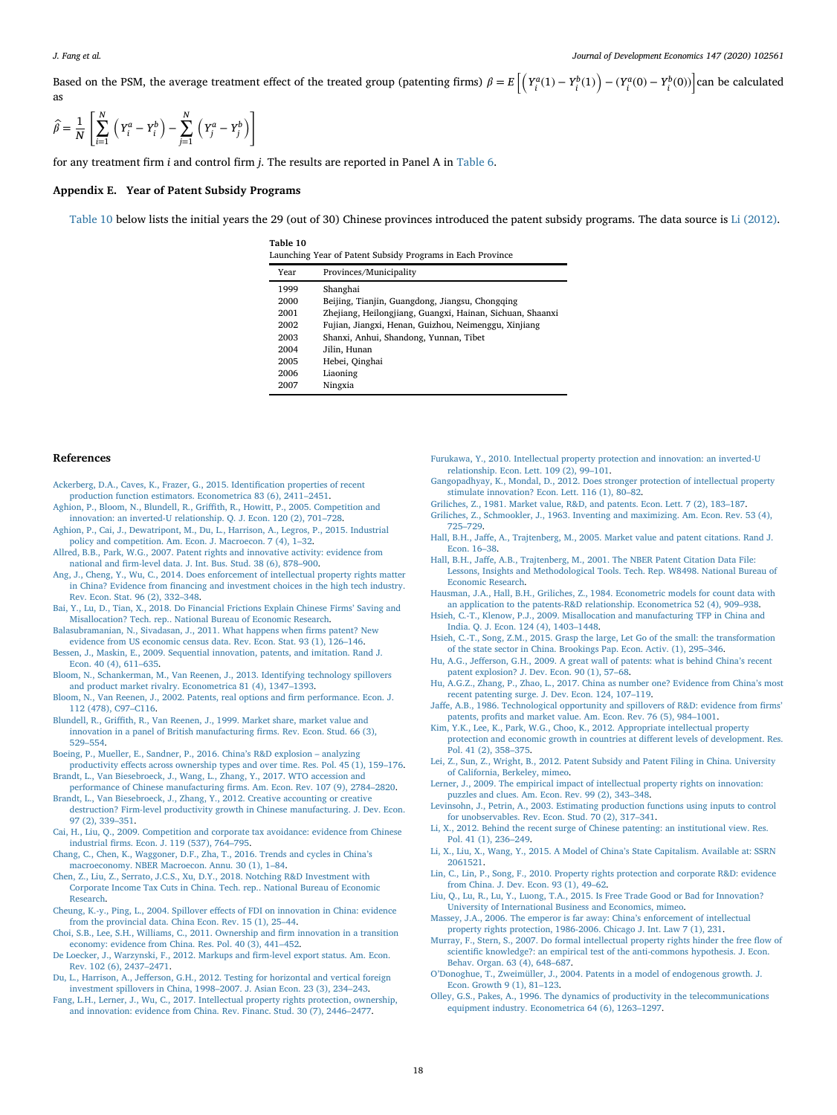Based on the PSM, the average treatment effect of the treated group (patenting firms)  $\beta = E\left[\left(Y_i^a(1) - Y_i^b(1)\right) - (Y_i^a(0) - Y_i^b(0))\right]$ can be calculated as

$$
\widehat{\beta} = \frac{1}{N} \left[ \sum_{i=1}^{N} \left( Y_i^a - Y_i^b \right) - \sum_{j=1}^{N} \left( Y_j^a - Y_j^b \right) \right]
$$

<span id="page-17-29"></span>for any treatment firm *i* and control firm *j*. The results are reported in Panel A in [Table 6.](#page-10-2)

#### **Appendix E. Year of Patent Subsidy Programs**

[Table 10](#page-17-28) below lists the initial years the 29 (out of 30) Chinese provinces introduced the patent subsidy programs. The data source is [Li \(2012\).](#page-17-1)

| Table 10 | Launching Year of Patent Subsidy Programs in Each Province |  |  |  |  |
|----------|------------------------------------------------------------|--|--|--|--|
| Year     | Provinces/Municipality                                     |  |  |  |  |
| 1999     | Shanghai                                                   |  |  |  |  |
| 2000     | Beijing, Tianjin, Guangdong, Jiangsu, Chongqing            |  |  |  |  |
| 2001     | Zhejiang, Heilongjiang, Guangxi, Hainan, Sichuan, Shaanxi  |  |  |  |  |
| 2002     | Fujian, Jiangxi, Henan, Guizhou, Neimenggu, Xinjiang       |  |  |  |  |
| 2003     | Shanxi, Anhui, Shandong, Yunnan, Tibet                     |  |  |  |  |
| 2004     | Jilin. Hunan                                               |  |  |  |  |
| 2005     | Hebei, Qinghai                                             |  |  |  |  |
| 2006     | Liaoning                                                   |  |  |  |  |
| 2007     | Ningxia                                                    |  |  |  |  |

#### **References**

- <span id="page-17-11"></span>Ackerberg, D.A., Caves, K., Frazer, G., 2015. Identification properties of recent [production function estimators. Econometrica 83 \(6\), 2411–2451.](http://refhub.elsevier.com/S0304-3878(20)30136-X/sref1)
- [Aghion, P., Bloom, N., Blundell, R., Griffith, R., Howitt, P., 2005. Competition and](http://refhub.elsevier.com/S0304-3878(20)30136-X/sref2) innovation: an inverted-U relationship. Q. J. Econ. 120 (2), 701–728.
- [Aghion, P., Cai, J., Dewatripont, M., Du, L., Harrison, A., Legros, P., 2015. Industrial](http://refhub.elsevier.com/S0304-3878(20)30136-X/sref3) policy and competition. Am. Econ. J. Macroecon. 7 (4), 1–32.
- Allred, B.B., Park, W.G., 2007. Patent rights and innovative activity: evidence from [national and firm-level data. J. Int. Bus. Stud. 38 \(6\), 878–900.](http://refhub.elsevier.com/S0304-3878(20)30136-X/sref4)
- [Ang, J., Cheng, Y., Wu, C., 2014. Does enforcement of intellectual property rights matter](http://refhub.elsevier.com/S0304-3878(20)30136-X/sref5) in China? Evidence from financing and investment choices in the high tech industry. Rev. Econ. Stat. 96 (2), 332–348.
- <span id="page-17-42"></span>[Bai, Y., Lu, D., Tian, X., 2018. Do Financial Frictions Explain Chinese Firms' Saving and](http://refhub.elsevier.com/S0304-3878(20)30136-X/sref6) Misallocation? Tech. rep.. National Bureau of Economic Research.
- [Balasubramanian, N., Sivadasan, J., 2011. What happens when firms patent? New](http://refhub.elsevier.com/S0304-3878(20)30136-X/sref7) evidence from US economic census data. Rev. Econ. Stat. 93 (1), 126–146.
- [Bessen, J., Maskin, E., 2009. Sequential innovation, patents, and imitation. Rand J.](http://refhub.elsevier.com/S0304-3878(20)30136-X/sref8) Econ. 40 (4), 611–635.
- <span id="page-17-38"></span>[Bloom, N., Schankerman, M., Van Reenen, J., 2013. Identifying technology spillovers](http://refhub.elsevier.com/S0304-3878(20)30136-X/sref9) and product market rivalry. Econometrica 81 (4), 1347–1393.
- [Bloom, N., Van Reenen, J., 2002. Patents, real](http://refhub.elsevier.com/S0304-3878(20)30136-X/sref10) options and firm performance. Econ. J. 112 (478), C97–C116.
- <span id="page-17-39"></span>[Blundell, R., Griffith, R., Van Reenen, J., 1999. Market share, market value and](http://refhub.elsevier.com/S0304-3878(20)30136-X/sref11) innovation in a panel of British manufacturing firms. Rev. Econ. Stud. 66 (3), 529–554.
- <span id="page-17-25"></span>Boeing, P., Mueller, E., Sandner, P., 2016. China's R&D explosion – analyzing [productivity effects across ownership types and over time. Res. Pol. 45 \(1\), 159–176.](http://refhub.elsevier.com/S0304-3878(20)30136-X/sref12)
- Brandt, L., Van Biesebroeck, J., Wang, L., Zhang, Y., 2017. WTO accession and [performance of Chinese manufacturing firms. Am. Econ. Rev. 107 \(9\), 2784–2820.](http://refhub.elsevier.com/S0304-3878(20)30136-X/sref13)
- Brandt, L., Van Biesebroeck, J., Zhang, Y., 2012. Creative accounting or creative [destruction? Firm-level productivity growth in Chinese manufacturing. J. Dev. Econ.](http://refhub.elsevier.com/S0304-3878(20)30136-X/sref14) 97 (2), 339–351.
- <span id="page-17-32"></span>[Cai, H., Liu, Q., 2009. Competition and corporate tax avoidance: evidence from Chinese](http://refhub.elsevier.com/S0304-3878(20)30136-X/sref15) industrial firms. Econ. J. 119 (537), 764–795.
- [Chang, C., Chen, K., Waggoner, D.F., Zha, T., 2016. Trends and cycles in China's](http://refhub.elsevier.com/S0304-3878(20)30136-X/sref16) macroeconomy. NBER Macroecon. Annu. 30 (1), 1–84.
- [Chen, Z., Liu, Z., Serrato, J.C.S., Xu, D.Y., 2018. Notching R&D Investment with](http://refhub.elsevier.com/S0304-3878(20)30136-X/sref17) Corporate Income Tax Cuts in China. Tech. rep.. National Bureau of Economic Research.
- <span id="page-17-22"></span>[Cheung, K.-y., Ping, L., 2004. Spillover effects of FDI on innovation in China: evidence](http://refhub.elsevier.com/S0304-3878(20)30136-X/sref18) from the provincial data. China Econ. Rev. 15 (1), 25–44.
- [Choi, S.B., Lee, S.H., Williams, C., 2011. Ownership and firm innovation in a transition](http://refhub.elsevier.com/S0304-3878(20)30136-X/sref19) economy: evidence from China. Res. Pol. 40 (3), 441–452.
- [De Loecker, J., Warzynski, F., 2012. Markups and firm-level export status. Am. Econ.](http://refhub.elsevier.com/S0304-3878(20)30136-X/sref20) Rev. 102 (6), 2437–2471.
- <span id="page-17-31"></span>[Du, L., Harrison, A., Jefferson, G.H., 2012. Testing for horizontal and vertical foreign](http://refhub.elsevier.com/S0304-3878(20)30136-X/sref21) investment spillovers in China, 1998–2007. J. Asian Econ. 23 (3), 234–243.
- [Fang, L.H., Lerner, J., Wu, C., 2017. Intellectual property rights protection, ownership,](http://refhub.elsevier.com/S0304-3878(20)30136-X/sref22) and innovation: evidence from China. Rev. Financ. Stud. 30 (7), 2446–2477.
- <span id="page-17-28"></span>[Furukawa, Y., 2010. Intellectual property protection and innovation: an inverted-U](http://refhub.elsevier.com/S0304-3878(20)30136-X/sref23) relationship. Econ. Lett. 109 (2), 99–101.
- <span id="page-17-19"></span>[Gangopadhyay, K., Mondal, D., 2012. Does stronger protection of intellectual property](http://refhub.elsevier.com/S0304-3878(20)30136-X/sref24) stimulate innovation? Econ. Lett. 116 (1), 80–82.
- <span id="page-17-9"></span><span id="page-17-4"></span>[Griliches, Z., 1981. Market value, R&D, and patents. Econ. Lett. 7 \(2\), 183–187.](http://refhub.elsevier.com/S0304-3878(20)30136-X/sref25)
- <span id="page-17-20"></span>[Griliches, Z., Schmookler, J., 1963. Inventing and maximizing. Am. Econ. Rev. 53 \(4\),](http://refhub.elsevier.com/S0304-3878(20)30136-X/sref26) 725–729.
- <span id="page-17-44"></span><span id="page-17-21"></span><span id="page-17-8"></span>[Hall, B.H., Jaffe, A., Trajtenberg, M., 2005. Market value and patent citations. Rand J.](http://refhub.elsevier.com/S0304-3878(20)30136-X/sref27) Econ. 16–38.
- <span id="page-17-6"></span>Hall, B.H., Jaffe, A.B., Trajtenberg, M., 2001. The NBER Patent Citation Data File: [Lessons, Insights and Methodological Tools. Tech. Rep. W8498. National Bureau of](http://refhub.elsevier.com/S0304-3878(20)30136-X/sref28) Economic Research.
- <span id="page-17-47"></span><span id="page-17-40"></span>Hausman, J.A., Hall, B.H., Griliches, Z., 1984. Econometric models for count data with [an application to the patents-R&D relationship. Econometrica 52 \(4\), 909–938.](http://refhub.elsevier.com/S0304-3878(20)30136-X/sref29)
- <span id="page-17-10"></span>[Hsieh, C.-T., Klenow, P.J., 2009. Misallocation and manufacturing TFP in China and](http://refhub.elsevier.com/S0304-3878(20)30136-X/sref30) India. Q. J. Econ. 124 (4), 1403–1448.
- <span id="page-17-16"></span><span id="page-17-14"></span><span id="page-17-12"></span>[Hsieh, C.-T., Song, Z.M., 2015. Grasp the large, Let Go of the small: the transformation](http://refhub.elsevier.com/S0304-3878(20)30136-X/sref31) of the state sector in China. Brookings Pap. Econ. Activ. (1), 295–346.
- <span id="page-17-0"></span>[Hu, A.G., Jefferson, G.H., 2009. A great wall of](http://refhub.elsevier.com/S0304-3878(20)30136-X/sref32) patents: what is behind China's recent patent explosion? J. Dev. Econ. 90 (1), 57–68.
- <span id="page-17-2"></span>[Hu, A.G.Z., Zhang, P., Zhao, L., 2017. China as number one? Evidence from China's most](http://refhub.elsevier.com/S0304-3878(20)30136-X/sref33) recent patenting surge. J. Dev. Econ. 124, 107–119.
- <span id="page-17-7"></span><span id="page-17-5"></span>[Jaffe, A.B., 1986. Technological opportunity and spillovers of R&D: evidence from firms'](http://refhub.elsevier.com/S0304-3878(20)30136-X/sref34) patents, profits and market value. Am. Econ. Rev. 76 (5), 984–1001.
- <span id="page-17-48"></span>Kim, Y.K., Lee, K., Park, W.G., Choo, K., 2012. Appropriate intellectual property [protection and economic growth in countries at different levels of development. Res.](http://refhub.elsevier.com/S0304-3878(20)30136-X/sref35) Pol. 41 (2), 358–375.
- <span id="page-17-26"></span>[Lei, Z., Sun, Z., Wright, B., 2012. Patent Subsidy and Patent Filing in China. University](http://refhub.elsevier.com/S0304-3878(20)30136-X/sref36) of California, Berkeley, mimeo.
- <span id="page-17-34"></span><span id="page-17-17"></span>[Lerner, J., 2009. The empirical impact of intellectual property rights on innovation:](http://refhub.elsevier.com/S0304-3878(20)30136-X/sref37) puzzles and clues. Am. Econ. Rev. 99 (2), 343–348.
- <span id="page-17-36"></span><span id="page-17-30"></span>[Levinsohn, J., Petrin, A., 2003. Estimating production functions using inputs to control](http://refhub.elsevier.com/S0304-3878(20)30136-X/sref38) for unobservables. Rev. Econ. Stud. 70 (2), 317–341.
- <span id="page-17-1"></span>[Li, X., 2012. Behind the recent surge of Chinese patenting: an institutional view. Res.](http://refhub.elsevier.com/S0304-3878(20)30136-X/sref39) Pol. 41 (1), 236–249.
- <span id="page-17-41"></span><span id="page-17-13"></span>[Li, X., Liu, X., Wang, Y., 2015. A Model of China's State Capitalism. Available at: SSRN](http://refhub.elsevier.com/S0304-3878(20)30136-X/sref40) 2061521.
- <span id="page-17-24"></span><span id="page-17-3"></span>[Lin, C., Lin, P., Song, F., 2010. Property rights protection and corporate R&D: evidence](http://refhub.elsevier.com/S0304-3878(20)30136-X/sref41) from China. J. Dev. Econ. 93 (1), 49–62.
- <span id="page-17-33"></span>[Liu, Q., Lu, R., Lu, Y., Luong, T.A., 2015. Is Free Trade Good or Bad for Innovation?](http://refhub.elsevier.com/S0304-3878(20)30136-X/sref42) University of International Business and Economics, mimeo.
- <span id="page-17-43"></span>[Massey, J.A., 2006. The emperor is far away: China's enforcement of intellectual](http://refhub.elsevier.com/S0304-3878(20)30136-X/sref43) property rights protection, 1986-2006. Chicago J. Int. Law 7 (1), 231.
- <span id="page-17-45"></span><span id="page-17-23"></span>[Murray, F., Stern, S., 2007. Do formal intellectual property rights hinder the free flow of](http://refhub.elsevier.com/S0304-3878(20)30136-X/sref44) scientific knowledge?: an empirical test of the anti-commons hypothesis. J. Econ. Behav. Organ. 63 (4), 648–687.
- <span id="page-17-37"></span><span id="page-17-15"></span>[O'Donoghue, T., Zweimüller, J., 2004. Patents in a model of endogenous growth. J.](http://refhub.elsevier.com/S0304-3878(20)30136-X/sref45) Econ. Growth 9 (1), 81–123.
- <span id="page-17-46"></span><span id="page-17-35"></span><span id="page-17-27"></span><span id="page-17-18"></span>[Olley, G.S., Pakes, A., 1996. The dynamics of productivity in the telecommunications](http://refhub.elsevier.com/S0304-3878(20)30136-X/sref46) equipment industry. Econometrica 64 (6), 1263–1297.